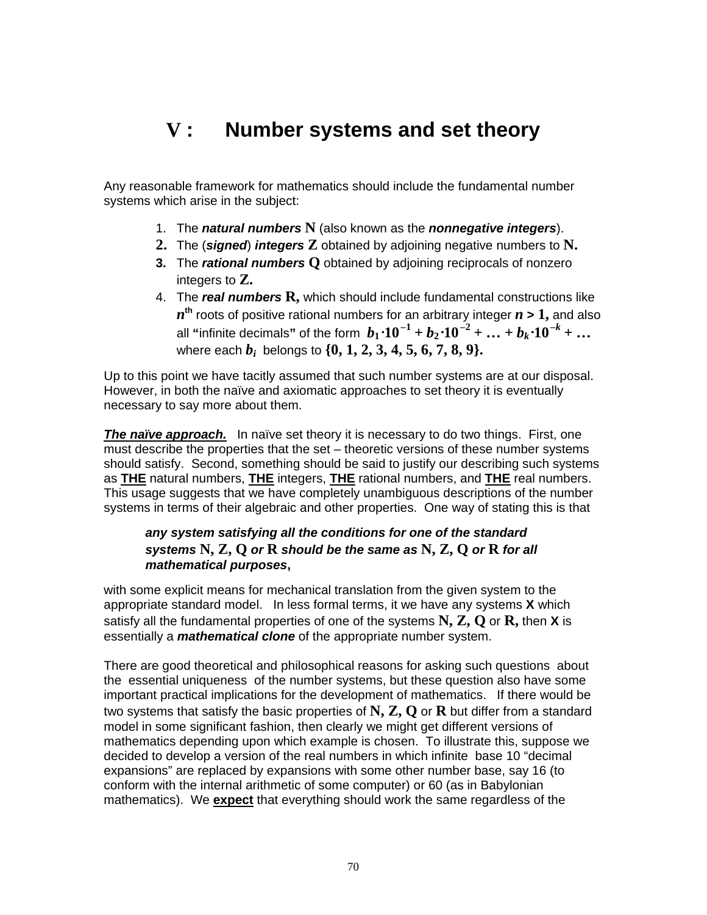# **V : Number systems and set theory**

Any reasonable framework for mathematics should include the fundamental number systems which arise in the subject:

- 1. The **natural numbers N** (also known as the **nonnegative integers**).
- **2.** The (**signed**) **integers Z** obtained by adjoining negative numbers to **N.**
- **3.** The **rational numbers Q** obtained by adjoining reciprocals of nonzero integers to **Z.**
- 4. The **real numbers R,** which should include fundamental constructions like  $n^{\text{th}}$  roots of positive rational numbers for an arbitrary integer  $n$  **>**  $1,$  and also  $\bm{b}_1 \cdot \bm{10}^{-1} + \bm{b}_2 \cdot \bm{10}^{-2} + ... + \bm{b}_k \cdot \bm{10}^{-k} + ...$ where each  $b_i$  belongs to  $\{0, 1, 2, 3, 4, 5, 6, 7, 8, 9\}.$

Up to this point we have tacitly assumed that such number systems are at our disposal. However, in both the naïve and axiomatic approaches to set theory it is eventually necessary to say more about them.

**The naïve approach.** In naïve set theory it is necessary to do two things. First, one must describe the properties that the set – theoretic versions of these number systems should satisfy. Second, something should be said to justify our describing such systems as **THE** natural numbers, **THE** integers, **THE** rational numbers, and **THE** real numbers. This usage suggests that we have completely unambiguous descriptions of the number systems in terms of their algebraic and other properties. One way of stating this is that

### **any system satisfying all the conditions for one of the standard systems N, Z, Q or R should be the same as N, Z, Q or R for all mathematical purposes,**

with some explicit means for mechanical translation from the given system to the appropriate standard model. In less formal terms, it we have any systems **X** which satisfy all the fundamental properties of one of the systems **N, Z, Q** or **R,** then **X** is essentially a **mathematical clone** of the appropriate number system.

There are good theoretical and philosophical reasons for asking such questions about the essential uniqueness of the number systems, but these question also have some important practical implications for the development of mathematics. If there would be two systems that satisfy the basic properties of **N, Z, Q** or **R** but differ from a standard model in some significant fashion, then clearly we might get different versions of mathematics depending upon which example is chosen. To illustrate this, suppose we decided to develop a version of the real numbers in which infinite base 10 "decimal expansions" are replaced by expansions with some other number base, say 16 (to conform with the internal arithmetic of some computer) or 60 (as in Babylonian mathematics). We **expect** that everything should work the same regardless of the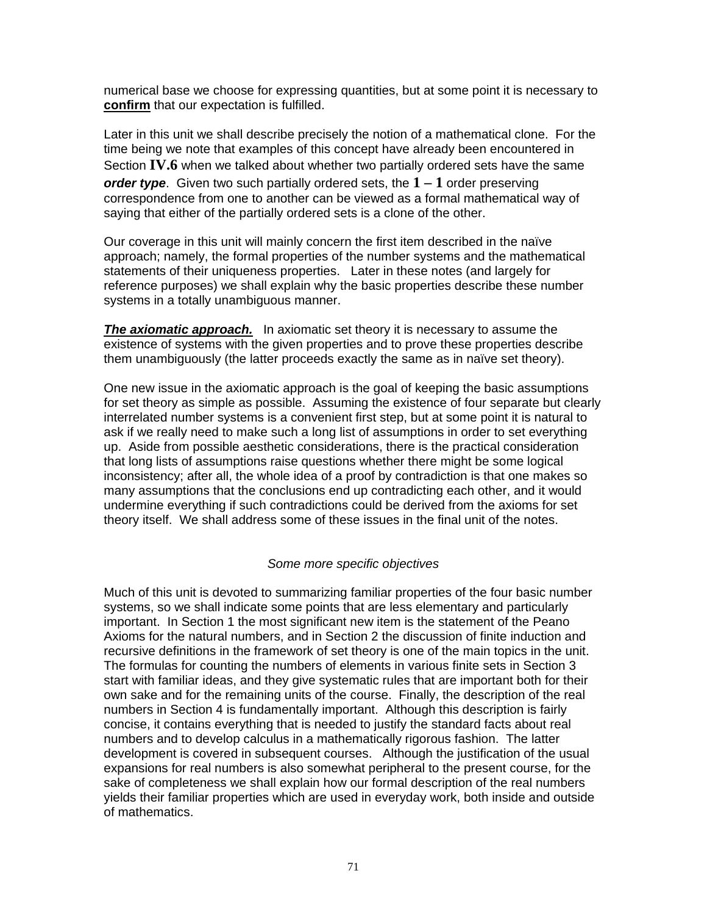numerical base we choose for expressing quantities, but at some point it is necessary to **confirm** that our expectation is fulfilled.

Later in this unit we shall describe precisely the notion of a mathematical clone. For the time being we note that examples of this concept have already been encountered in Section **IV.6** when we talked about whether two partially ordered sets have the same **order type**. Given two such partially ordered sets, the **1 – 1** order preserving correspondence from one to another can be viewed as a formal mathematical way of saying that either of the partially ordered sets is a clone of the other.

Our coverage in this unit will mainly concern the first item described in the naïve approach; namely, the formal properties of the number systems and the mathematical statements of their uniqueness properties. Later in these notes (and largely for reference purposes) we shall explain why the basic properties describe these number systems in a totally unambiguous manner.

**The axiomatic approach.** In axiomatic set theory it is necessary to assume the existence of systems with the given properties and to prove these properties describe them unambiguously (the latter proceeds exactly the same as in naïve set theory).

One new issue in the axiomatic approach is the goal of keeping the basic assumptions for set theory as simple as possible. Assuming the existence of four separate but clearly interrelated number systems is a convenient first step, but at some point it is natural to ask if we really need to make such a long list of assumptions in order to set everything up. Aside from possible aesthetic considerations, there is the practical consideration that long lists of assumptions raise questions whether there might be some logical inconsistency; after all, the whole idea of a proof by contradiction is that one makes so many assumptions that the conclusions end up contradicting each other, and it would undermine everything if such contradictions could be derived from the axioms for set theory itself. We shall address some of these issues in the final unit of the notes.

### Some more specific objectives

Much of this unit is devoted to summarizing familiar properties of the four basic number systems, so we shall indicate some points that are less elementary and particularly important. In Section 1 the most significant new item is the statement of the Peano Axioms for the natural numbers, and in Section 2 the discussion of finite induction and recursive definitions in the framework of set theory is one of the main topics in the unit. The formulas for counting the numbers of elements in various finite sets in Section 3 start with familiar ideas, and they give systematic rules that are important both for their own sake and for the remaining units of the course. Finally, the description of the real numbers in Section 4 is fundamentally important. Although this description is fairly concise, it contains everything that is needed to justify the standard facts about real numbers and to develop calculus in a mathematically rigorous fashion. The latter development is covered in subsequent courses. Although the justification of the usual expansions for real numbers is also somewhat peripheral to the present course, for the sake of completeness we shall explain how our formal description of the real numbers yields their familiar properties which are used in everyday work, both inside and outside of mathematics.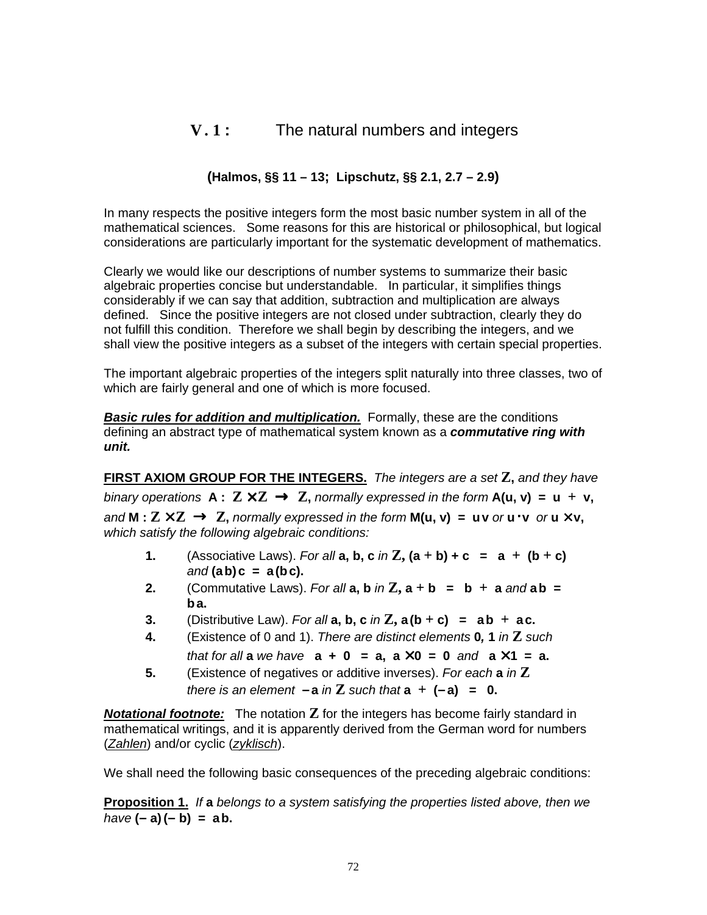# **V. 1 :** The natural numbers and integers

# **(Halmos, §§ 11 – 13; Lipschutz, §§ 2.1, 2.7 – 2.9)**

In many respects the positive integers form the most basic number system in all of the mathematical sciences. Some reasons for this are historical or philosophical, but logical considerations are particularly important for the systematic development of mathematics.

Clearly we would like our descriptions of number systems to summarize their basic algebraic properties concise but understandable. In particular, it simplifies things considerably if we can say that addition, subtraction and multiplication are always defined. Since the positive integers are not closed under subtraction, clearly they do not fulfill this condition. Therefore we shall begin by describing the integers, and we shall view the positive integers as a subset of the integers with certain special properties.

The important algebraic properties of the integers split naturally into three classes, two of which are fairly general and one of which is more focused.

**Basic rules for addition and multiplication.** Formally, these are the conditions defining an abstract type of mathematical system known as a **commutative ring with unit.**

**FIRST AXIOM GROUP FOR THE INTEGERS.** The integers are <sup>a</sup> set **Z,** and they have binary operations  $A: Z \times Z \rightarrow Z$ , normally expressed in the form  $A(u, v) = u + v$ , and **M** :  $\mathbb{Z} \times \mathbb{Z}$  →  $\mathbb{Z}$ , normally expressed in the form **M(u, v)** = **uv** or **u** · **v** or **u**  $\times$  **v**, which satisfy the following algebraic conditions:

- **1.** (Associative Laws). For all  $a, b, c$  in  $\mathbb{Z}, (a + b) + c = a + (b + c)$ and **(ab)c = a(bc).**
- **2.** (Commutative Laws). For all  $a, b$  in  $\mathbb{Z}, a + b = b + a$  and  $ab =$ **ba.**
- **3.** (Distributive Law). For all  $a, b, c$  in  $\mathbb{Z}, a(b+c) = ab + ac$ .
- **4.** (Existence of 0 and 1). There are distinct elements **0, 1** in **Z** such *that for all a we have*  $a + 0 = a$ ,  $a \times 0 = 0$  and  $a \times 1 = a$ .
- **5.** (Existence of negatives or additive inverses). For each **a** in **Z** there is an element  $-a$  in **Z** such that  $a + (-a) = 0$ .

**Notational footnote:** The notation **Z** for the integers has become fairly standard in mathematical writings, and it is apparently derived from the German word for numbers (Zahlen) and/or cyclic (zyklisch).

We shall need the following basic consequences of the preceding algebraic conditions:

**Proposition 1.** If **a** belongs to <sup>a</sup> system satisfying the properties listed above, then we  $h$ ave  $(-a)(-b) = ab$ .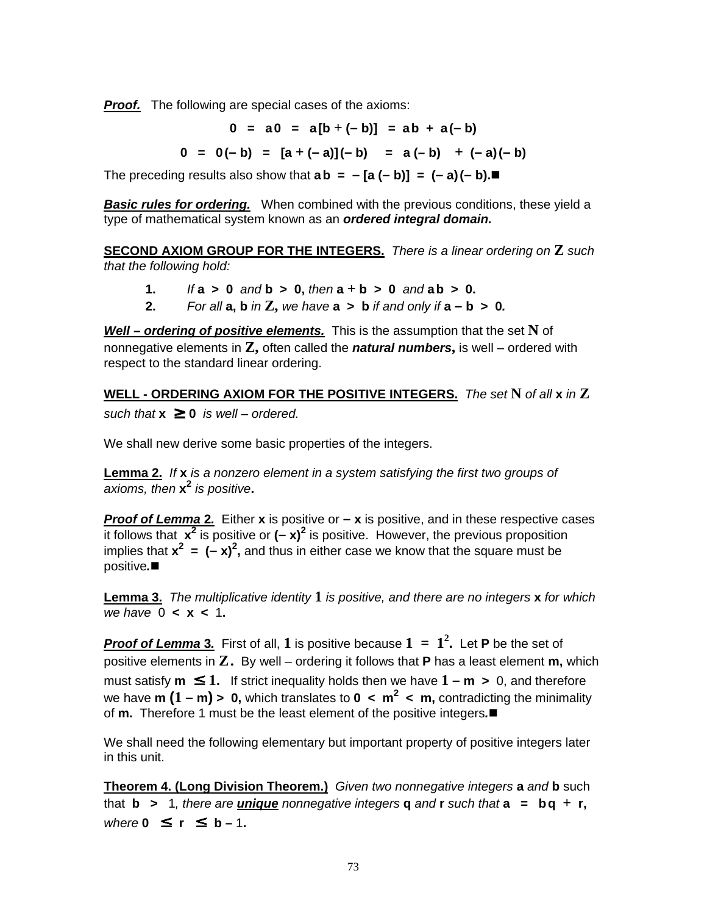**Proof.** The following are special cases of the axioms:

**0 = a0 = a[b + (– b)] = ab + a(– b)**

 $0 = 0(-b) = [a + (-a)](-b) = a(-b) + (-a)(-b)$ 

The preceding results also show that  $ab = -[a(-b)] = (-a)(-b)$ .

**Basic rules for ordering.** When combined with the previous conditions, these yield a type of mathematical system known as an **ordered integral domain.**

**SECOND AXIOM GROUP FOR THE INTEGERS.** There is <sup>a</sup> linear ordering on **Z** such that the following hold:

- **1.** If **a > 0** and **b > 0,** then **a + b > 0** and **ab > 0.**
- **2.** For all  $a, b$  in  $\mathbb{Z}$ , we have  $a > b$  if and only if  $a b > 0$ .

**Well – ordering of positive elements.** This is the assumption that the set **N** of nonnegative elements in **Z,** often called the **natural numbers,** is well – ordered with respect to the standard linear ordering.

**WELL - ORDERING AXIOM FOR THE POSITIVE INTEGERS.** The set **N** of all **x** in **Z** such that  $x \geq 0$  is well – ordered.

We shall new derive some basic properties of the integers.

**Lemma 2.** If **x** is <sup>a</sup> nonzero element in <sup>a</sup> system satisfying the first two groups of axioms, then **x 2** is positive**.**

**Proof of Lemma 2.** Either **x** is positive or **– x** is positive, and in these respective cases it follows that  $x^2$  is positive or  $(-x)^2$  is positive. However, the previous proposition implies that  $x^2 = (-x)^2$ , and thus in either case we know that the square must be positive**.**

**Lemma 3.** The multiplicative identity **1** is positive, and there are no integers **x** for which we have 0 **< x <** 1**.**

**Proof of Lemma 3.** First of all, **1** is positive because **1 = 1 2 .** Let **P** be the set of positive elements in **Z.** By well – ordering it follows that **P** has a least element **m,** which must satisfy  $m \leq 1$ . If strict inequality holds then we have  $1 - m > 0$ , and therefore we have **m (1 – m) > 0,** which translates to **0 < m 2 < m,** contradicting the minimality of **m.** Therefore 1 must be the least element of the positive integers**.**

We shall need the following elementary but important property of positive integers later in this unit.

**Theorem 4. (Long Division Theorem.)** Given two nonnegative integers **a** and **b** such **that <b>b**  $> 1$ , there are **unique** nonnegative integers **q** and **r** such that **a**  $=$  **bq**  $+$  **r**,  $where 0 \leq r \leq b-1$ .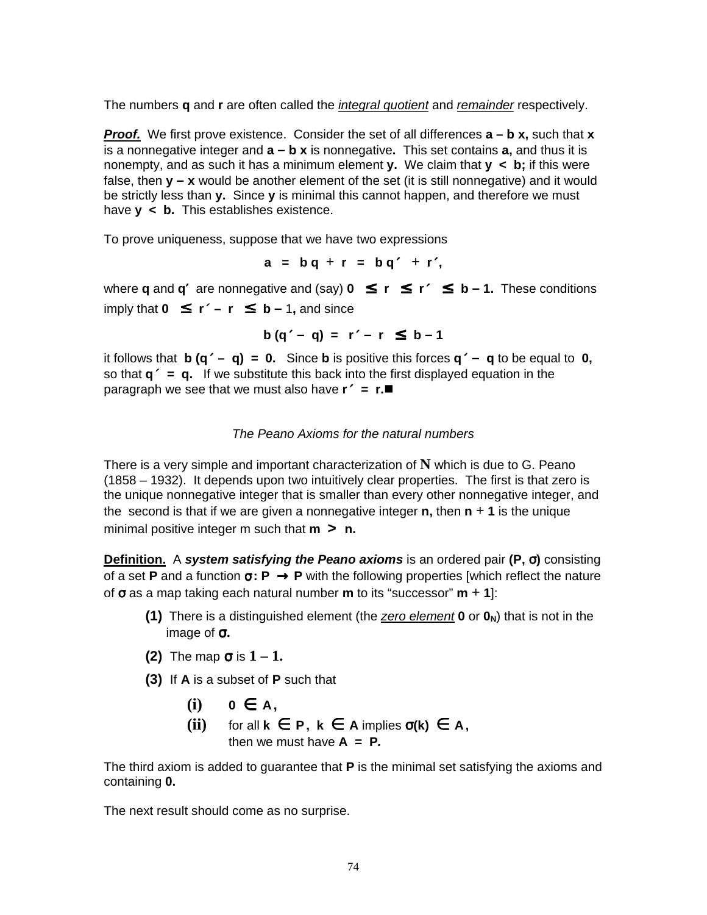The numbers **q** and **r** are often called the integral quotient and remainder respectively.

**Proof.** We first prove existence. Consider the set of all differences **a – b x,** such that **x** is a nonnegative integer and **a – b x** is nonnegative**.** This set contains **a,** and thus it is nonempty, and as such it has a minimum element **y.** We claim that **y < b;** if this were false, then **y – x** would be another element of the set (it is still nonnegative) and it would be strictly less than **y.** Since **y** is minimal this cannot happen, and therefore we must have **y < b.** This establishes existence.

To prove uniqueness, suppose that we have two expressions

$$
a = bq + r = bq' + r',
$$

where **q** and **q'** are nonnegative and (say)  $0 \le r \le r' \le b - 1$ . These conditions imply that **0** ≤ **r**′ **– r** ≤ **b –** 1**,** and since

$$
b(q'-q) = r'-r \leq b-1
$$

it follows that **b**  $(q' - q) = 0$ . Since **b** is positive this forces  $q' - q$  to be equal to 0, so that **q**′ **= q.** If we substitute this back into the first displayed equation in the paragraph we see that we must also have **r**′ **= r.**

### The Peano Axioms for the natural numbers

There is a very simple and important characterization of **N** which is due to G. Peano (1858 – 1932). It depends upon two intuitively clear properties. The first is that zero is the unique nonnegative integer that is smaller than every other nonnegative integer, and the second is that if we are given a nonnegative integer **n,** then **n + 1** is the unique minimal positive integer m such that **m > n.**

**Definition.** A **system satisfying the Peano axioms** is an ordered pair **(P,** σ**)** consisting of a set **P** and a function σ**: P** → **P** with the following properties [which reflect the nature of σ as a map taking each natural number **m** to its "successor" **m + 1**]:

- **(1)** There is a distinguished element (the zero element **0** or **0N**) that is not in the image of σ**.**
- **(2)** The map  $\sigma$  is  $1 1$ .
- **(3)** If **A** is a subset of **P** such that
	- $(i)$   $0 \in A$ ,
	- **(ii)** for all  $k \in P$ ,  $k \in A$  implies  $\sigma(k) \in A$ , then we must have  $A = P$ .

The third axiom is added to guarantee that **P** is the minimal set satisfying the axioms and containing **0.**

The next result should come as no surprise.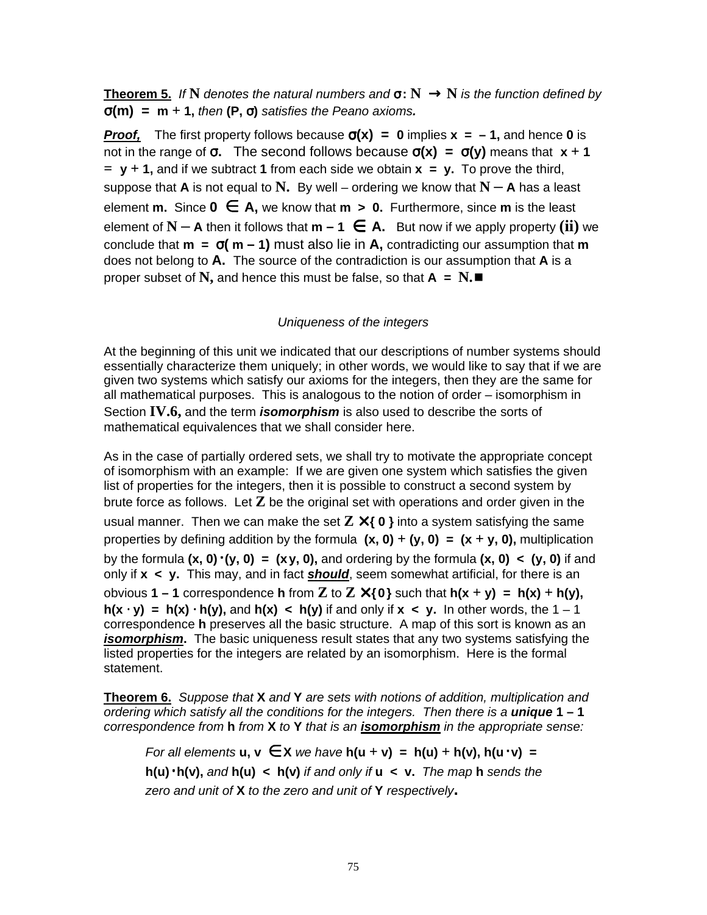**Theorem 5.** If **N** denotes the natural numbers and  $\sigma: N \to N$  is the function defined by σ**(m) = m + 1,** then **(P,** σ**)** satisfies the Peano axioms**.**

**Proof,** The first property follows because  $\sigma(x) = 0$  implies  $x = -1$ , and hence 0 is not in the range of σ**.** The second follows because σ**(x) =** σ**(y)** means that **x + 1**  $=$  **y** + **1**, and if we subtract **1** from each side we obtain  $x = y$ . To prove the third, suppose that **A** is not equal to **N.** By well – ordering we know that  $N - A$  has a least **element <b>m.** Since  $0$  ∈ A, we know that  $m > 0$ . Furthermore, since  $m$  is the least element of  $N - A$  then it follows that  $m - 1 \in A$ . But now if we apply property (ii) we conclude that  $m = \sigma(m - 1)$  must also lie in A, contradicting our assumption that  $m$ does not belong to **A.** The source of the contradiction is our assumption that **A** is a proper subset of  $N$ , and hence this must be false, so that  $A = N$ .

### Uniqueness of the integers

At the beginning of this unit we indicated that our descriptions of number systems should essentially characterize them uniquely; in other words, we would like to say that if we are given two systems which satisfy our axioms for the integers, then they are the same for all mathematical purposes. This is analogous to the notion of order – isomorphism in Section **IV.6,** and the term **isomorphism** is also used to describe the sorts of mathematical equivalences that we shall consider here.

As in the case of partially ordered sets, we shall try to motivate the appropriate concept of isomorphism with an example: If we are given one system which satisfies the given list of properties for the integers, then it is possible to construct a second system by brute force as follows. Let **Z** be the original set with operations and order given in the usual manner. Then we can make the set  $\mathbb{Z} \times \{0\}$  into a system satisfying the same properties by defining addition by the formula  $(x, 0) + (y, 0) = (x + y, 0)$ , multiplication by the formula **(x, 0)**⋅**(y, 0) = (xy, 0),** and ordering by the formula **(x, 0) < (y, 0)** if and only if **x < y.** This may, and in fact **should**, seem somewhat artificial, for there is an obvious **1 – 1** correspondence **h** from **Z** to **Z** × **{0}** such that **h(x + y) = h(x) + h(y), h(x**  $\cdot$  **y)** = **h(x)**  $\cdot$  **h(y)**, and **h(x)**  $\lt$  **h(y)** if and only if **x**  $\lt$  **y**. In other words, the 1 – 1 correspondence **h** preserves all the basic structure. A map of this sort is known as an **isomorphism.** The basic uniqueness result states that any two systems satisfying the listed properties for the integers are related by an isomorphism. Here is the formal statement.

**Theorem 6.** Suppose that **X** and **Y** are sets with notions of addition, multiplication and ordering which satisfy all the conditions for the integers. Then there is <sup>a</sup> **unique 1 – 1** correspondence from **h** from **X** to **Y** that is an **isomorphism** in the appropriate sense:

 $For all elements **u**, **v**  $\in$  **X** *we have*  $h(u + v) = h(u) + h(v)$ ,  $h(u \cdot v) = h(v)$$ **h(u)**⋅**h(v),** and **h(u) < h(v)** if and only if **u < v.** The map **h** sends the zero and unit of **X** to the zero and unit of **Y** respectively**.**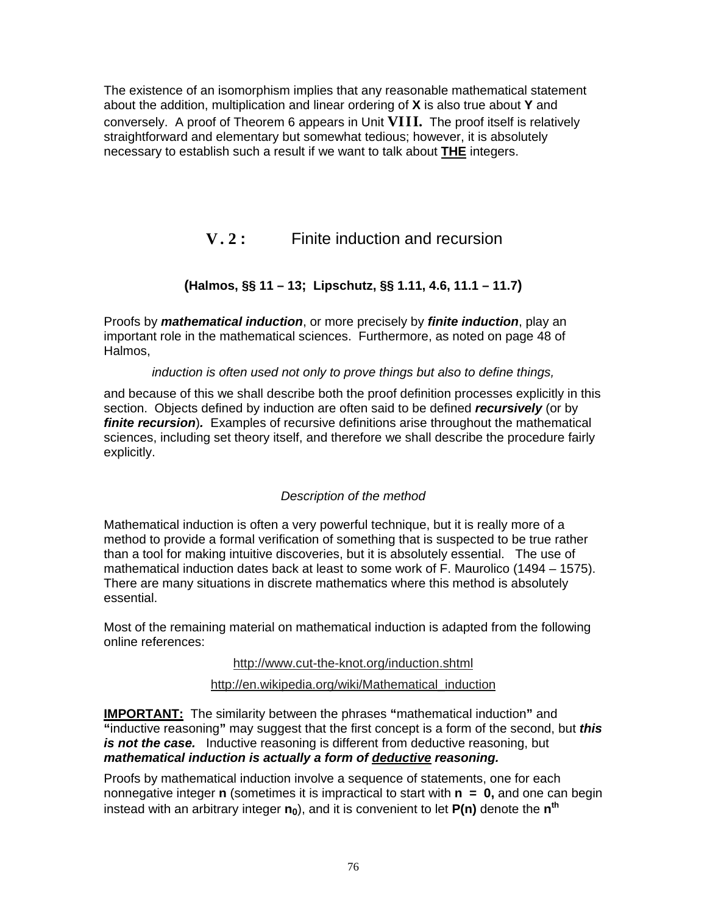The existence of an isomorphism implies that any reasonable mathematical statement about the addition, multiplication and linear ordering of **X** is also true about **Y** and conversely. A proof of Theorem 6 appears in Unit **VIII.** The proof itself is relatively straightforward and elementary but somewhat tedious; however, it is absolutely necessary to establish such a result if we want to talk about **THE** integers.

**V. 2 :** Finite induction and recursion

# **(Halmos, §§ 11 – 13; Lipschutz, §§ 1.11, 4.6, 11.1 – 11.7)**

Proofs by **mathematical induction**, or more precisely by **finite induction**, play an important role in the mathematical sciences. Furthermore, as noted on page 48 of Halmos,

### induction is often used not only to prove things but also to define things,

and because of this we shall describe both the proof definition processes explicitly in this section. Objects defined by induction are often said to be defined **recursively** (or by **finite recursion**)**.** Examples of recursive definitions arise throughout the mathematical sciences, including set theory itself, and therefore we shall describe the procedure fairly explicitly.

# Description of the method

Mathematical induction is often a very powerful technique, but it is really more of a method to provide a formal verification of something that is suspected to be true rather than a tool for making intuitive discoveries, but it is absolutely essential. The use of mathematical induction dates back at least to some work of F. Maurolico (1494 – 1575). There are many situations in discrete mathematics where this method is absolutely essential.

Most of the remaining material on mathematical induction is adapted from the following online references:

### http://www.cut-the-knot.org/induction.shtml

http://en.wikipedia.org/wiki/Mathematical\_induction

**IMPORTANT:** The similarity between the phrases **"**mathematical induction**"** and **"**inductive reasoning**"** may suggest that the first concept is a form of the second, but **this is not the case.** Inductive reasoning is different from deductive reasoning, but **mathematical induction is actually <sup>a</sup> form of deductive reasoning.**

Proofs by mathematical induction involve a sequence of statements, one for each nonnegative integer **n** (sometimes it is impractical to start with **n = 0,** and one can begin instead with an arbitrary integer **n0**), and it is convenient to let **P(n)** denote the **n th**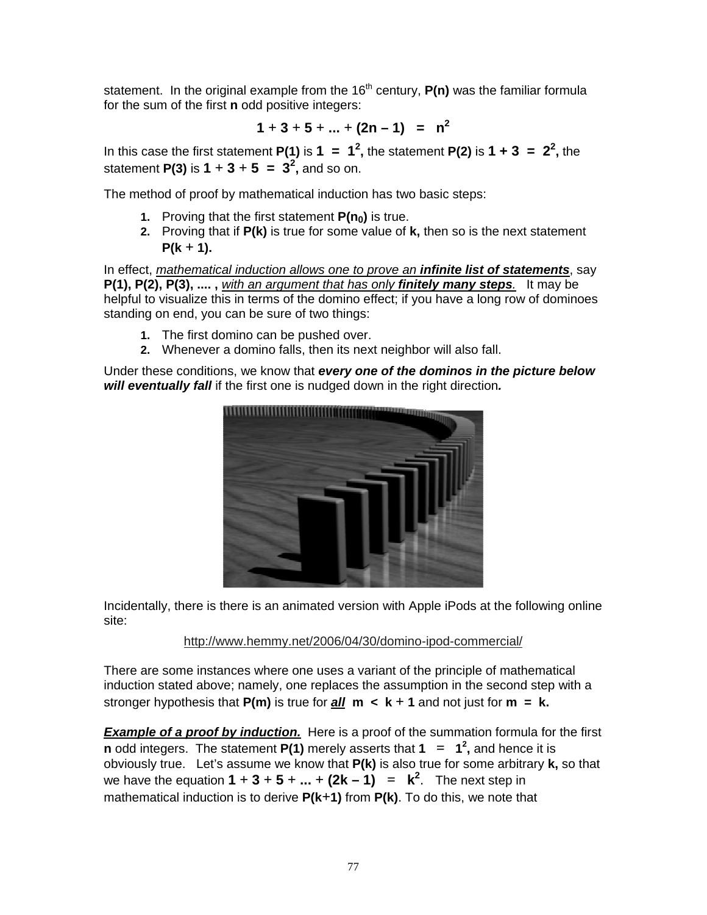statement. In the original example from the 16<sup>th</sup> century, **P(n)** was the familiar formula for the sum of the first **n** odd positive integers:

$$
1 + 3 + 5 + \ldots + (2n - 1) = n^2
$$

In this case the first statement **P(1)** is  $1 = 1^2$ , the statement **P(2)** is  $1 + 3 = 2^2$ , the statement **P(3)** is  $1 + 3 + 5 = 3^2$ , and so on.

The method of proof by mathematical induction has two basic steps:

- **1.** Proving that the first statement **P(n0)** is true.
- **2.** Proving that if **P(k)** is true for some value of **k,** then so is the next statement **P(k + 1).**

In effect, mathematical induction allows one to prove an **infinite list of statements**, say **P(1), P(2), P(3), .... ,** with an argument that has only **finitely many steps**. It may be helpful to visualize this in terms of the domino effect; if you have a long row of dominoes standing on end, you can be sure of two things:

- **1.** The first domino can be pushed over.
- **2.** Whenever a domino falls, then its next neighbor will also fall.

Under these conditions, we know that **every one of the dominos in the picture below will eventually fall** if the first one is nudged down in the right direction**.**



Incidentally, there is there is an animated version with Apple iPods at the following online site:

http://www.hemmy.net/2006/04/30/domino-ipod-commercial/

There are some instances where one uses a variant of the principle of mathematical induction stated above; namely, one replaces the assumption in the second step with a **stronger hypothesis that**  $P(m)$  **is true for**  $all \, m \, < k + 1$  **and not just for**  $m = k$ **.** 

**Example of <sup>a</sup> proof by induction.** Here is a proof of the summation formula for the first **n** odd integers. The statement **P(1)** merely asserts that **1 = 1 2 ,** and hence it is obviously true. Let's assume we know that **P(k)** is also true for some arbitrary **k,** so that we have the equation  $1 + 3 + 5 + ... + (2k - 1) = k^2$ . The next step in mathematical induction is to derive **P(k+1)** from **P(k)**. To do this, we note that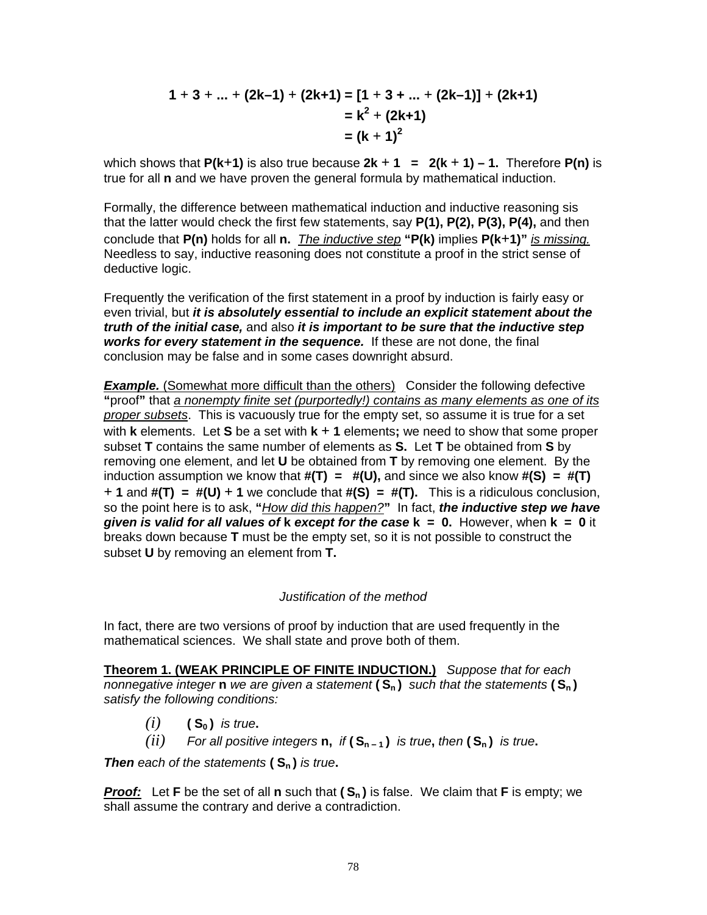$$
1 + 3 + ... + (2k-1) + (2k+1) = [1 + 3 + ... + (2k-1)] + (2k+1)
$$
  
=  $k^2 + (2k+1)$   
=  $(k + 1)^2$ 

which shows that  $P(k+1)$  is also true because  $2k+1 = 2(k+1) - 1$ . Therefore  $P(n)$  is true for all **n** and we have proven the general formula by mathematical induction.

Formally, the difference between mathematical induction and inductive reasoning sis that the latter would check the first few statements, say **P(1), P(2), P(3), P(4),** and then conclude that **P(n)** holds for all **n.** The inductive step **"P(k)** implies **P(k+1)"** is missing. Needless to say, inductive reasoning does not constitute a proof in the strict sense of deductive logic.

Frequently the verification of the first statement in a proof by induction is fairly easy or even trivial, but **it is absolutely essential to include an explicit statement about the truth of the initial case,** and also **it is important to be sure that the inductive step works for every statement in the sequence.** If these are not done, the final conclusion may be false and in some cases downright absurd.

**Example.** (Somewhat more difficult than the others) Consider the following defective **"**proof**"** that <sup>a</sup> nonempty finite set (purportedly!) contains as many elements as one of its proper subsets. This is vacuously true for the empty set, so assume it is true for a set with **k** elements. Let **S** be a set with **k + 1** elements**;** we need to show that some proper subset **T** contains the same number of elements as **S.** Let **T** be obtained from **S** by removing one element, and let **U** be obtained from **T** by removing one element. By the induction assumption we know that **#(T) = #(U),** and since we also know **#(S) = #(T) + 1** and **#(T) = #(U) + 1** we conclude that **#(S) = #(T).** This is a ridiculous conclusion, so the point here is to ask, **"**How did this happen?**"** In fact, **the inductive step we have given is valid for all values of k except for the case k = 0.** However, when **k = 0** it breaks down because **T** must be the empty set, so it is not possible to construct the subset **U** by removing an element from **T.**

### Justification of the method

In fact, there are two versions of proof by induction that are used frequently in the mathematical sciences. We shall state and prove both of them.

**Theorem 1. (WEAK PRINCIPLE OF FINITE INDUCTION.)** Suppose that for each nonnegative integer **n** we are given <sup>a</sup> statement **( S<sup>n</sup> )** such that the statements **( S<sup>n</sup> )** satisfy the following conditions:

- $(i)$  (**S<sub>0</sub>**) is true.
- *(ii)* For all positive integers **n**, if  $(S_{n-1})$  is true, then  $(S_n)$  is true.

**Then** each of the statements **( S<sup>n</sup> )** is true**.**

**Proof:** Let **F** be the set of all **n** such that **( S<sup>n</sup> )** is false. We claim that **F** is empty; we shall assume the contrary and derive a contradiction.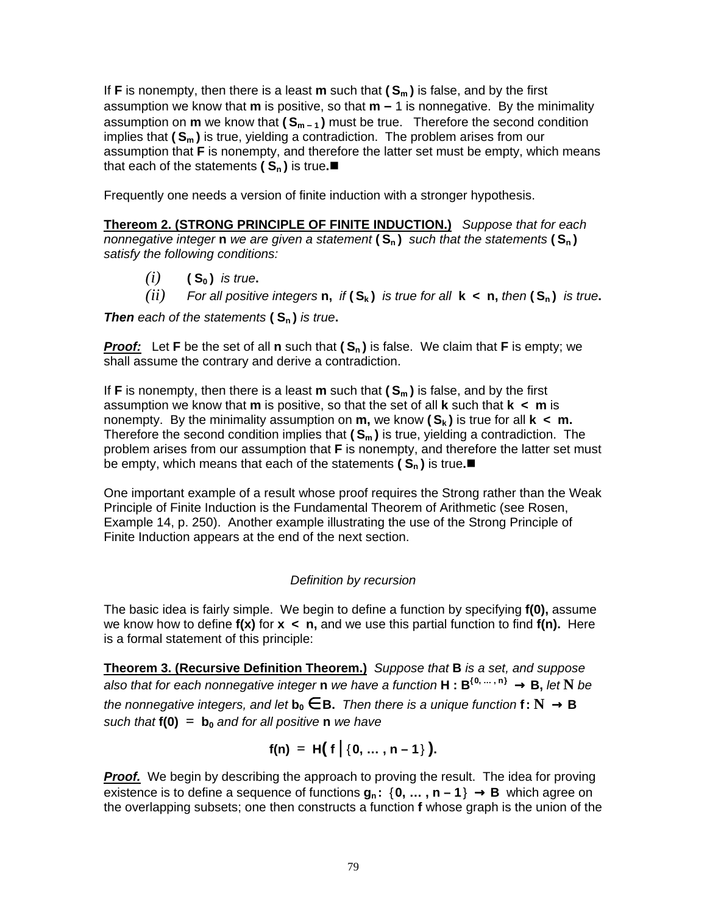If **F** is nonempty, then there is a least **m** such that **( S<sup>m</sup> )** is false, and by the first assumption we know that **m** is positive, so that **m –** 1 is nonnegative. By the minimality assumption on **m** we know that **( S<sup>m</sup> – <sup>1</sup> )** must be true. Therefore the second condition implies that **( S<sup>m</sup> )** is true, yielding a contradiction. The problem arises from our assumption that **F** is nonempty, and therefore the latter set must be empty, which means that each of the statements  $(S_n)$  is true.

Frequently one needs a version of finite induction with a stronger hypothesis.

**Thereom 2. (STRONG PRINCIPLE OF FINITE INDUCTION.)** Suppose that for each nonnegative integer **n** we are given <sup>a</sup> statement **( S<sup>n</sup> )** such that the statements **( S<sup>n</sup> )** satisfy the following conditions:

- $(i)$   $(S_0)$  *is true.*
- *(ii)* For all positive integers **n**, if  $(S_k)$  is true for all  $k < n$ , then  $(S_n)$  is true.

**Then** each of the statements **( S<sup>n</sup> )** is true**.**

**Proof:** Let **F** be the set of all **n** such that  $(S_n)$  is false. We claim that **F** is empty; we shall assume the contrary and derive a contradiction.

If **F** is nonempty, then there is a least **m** such that **( S<sup>m</sup> )** is false, and by the first assumption we know that **m** is positive, so that the set of all **k** such that **k < m** is nonempty. By the minimality assumption on  $m$ , we know  $(S_k)$  is true for all  $k < m$ . Therefore the second condition implies that **( S<sup>m</sup> )** is true, yielding a contradiction. The problem arises from our assumption that **F** is nonempty, and therefore the latter set must be empty, which means that each of the statements  $(S_n)$  is true.

One important example of a result whose proof requires the Strong rather than the Weak Principle of Finite Induction is the Fundamental Theorem of Arithmetic (see Rosen, Example 14, p. 250). Another example illustrating the use of the Strong Principle of Finite Induction appears at the end of the next section.

### Definition by recursion

The basic idea is fairly simple. We begin to define a function by specifying **f(0),** assume we know how to define **f(x)** for **x < n,** and we use this partial function to find **f(n).** Here is a formal statement of this principle:

**Theorem 3. (Recursive Definition Theorem.)** Suppose that **B** is <sup>a</sup> set, and suppose also that for each nonnegative integer **n** we have <sup>a</sup> function **H : B {0, … , n}** → **B,** let **N** be the nonnegative integers, and let  $\mathbf{b}_0 \in \mathbf{B}$ . Then there is a unique function  $f: \mathbf{N} \to \mathbf{B}$ such that  $f(0) = b_0$  and for all positive **n** we have

$$
f(n) = H(f | {0, ..., n-1})
$$
.

**Proof.** We begin by describing the approach to proving the result. The idea for proving existence is to define a sequence of functions  $g_n$ :  $\{0, \ldots, n-1\} \rightarrow B$  which agree on the overlapping subsets; one then constructs a function **f** whose graph is the union of the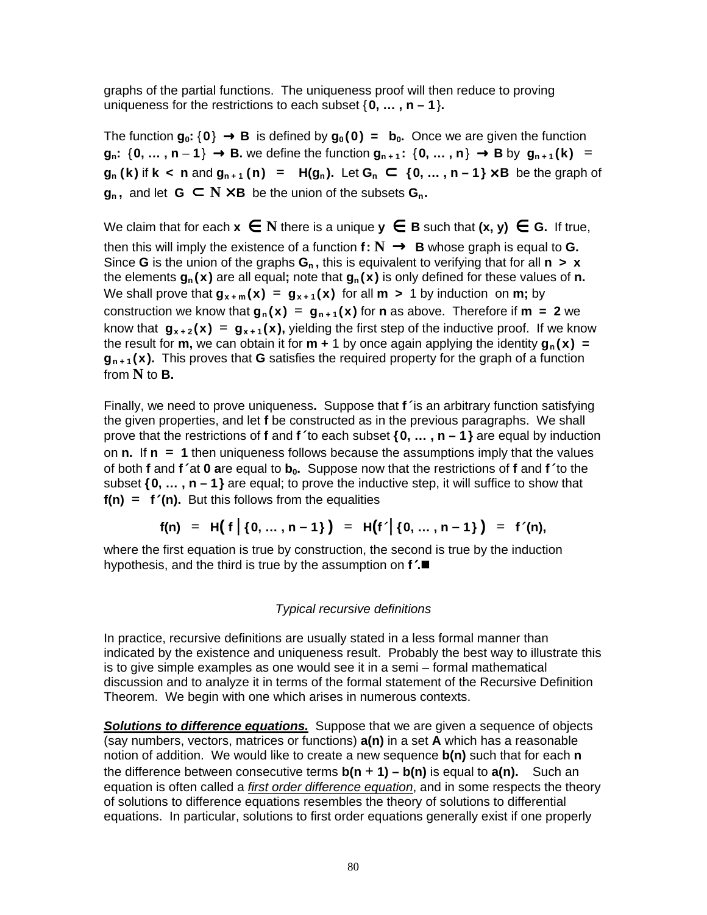graphs of the partial functions. The uniqueness proof will then reduce to proving uniqueness for the restrictions to each subset  $\{0, \ldots, n-1\}$ .

The function  $g_0: \{0\} \rightarrow B$  is defined by  $g_0(0) = b_0$ . Once we are given the function  $q_n$ : {0, ..., n - 1}  $\rightarrow$  B, we define the function  $q_{n+1}$ : {0, ..., n}  $\rightarrow$  B by  $q_{n+1}(k)$  =  $g_n(k)$  if  $k < n$  and  $g_{n+1}(n) = H(g_n)$ . Let  $G_n \subset \{0, ..., n-1\} \times B$  be the graph of **g**<sub>n</sub>, and let **G** ⊂ **N**  $\times$  **B** be the union of the subsets **G**<sub>n</sub>.

We claim that for each  $x \in N$  there is a unique  $y \in B$  such that  $(x, y) \in G$ . If true, then this will imply the existence of a function  $f: \mathbb{N} \to \mathbb{B}$  whose graph is equal to **G.** Since **G** is the union of the graphs  $G_n$ , this is equivalent to verifying that for all  $n > x$ the elements **g<sup>n</sup> (x)** are all equal**;** note that **g<sup>n</sup> (x)** is only defined for these values of **n.** We shall prove that  $g_{x+m}(x) = g_{x+1}(x)$  for all  $m > 1$  by induction on  $m$ ; by construction we know that  $g_n(x) = g_{n+1}(x)$  for **n** as above. Therefore if **m** = 2 we know that  $g_{x+2}(x) = g_{x+1}(x)$ , yielding the first step of the inductive proof. If we know the result for **m**, we can obtain it for **m** + 1 by once again applying the identity  $\mathbf{g}_n(\mathbf{x}) =$ **g<sup>n</sup> <sup>+</sup> <sup>1</sup> (x).** This proves that **G** satisfies the required property for the graph of a function from **N** to **B.**

Finally, we need to prove uniqueness**.** Suppose that **f**′ is an arbitrary function satisfying the given properties, and let **f** be constructed as in the previous paragraphs. We shall prove that the restrictions of **f** and **f**′ to each subset **{0, … , n – 1}** are equal by induction on **n.** If **n = 1** then uniqueness follows because the assumptions imply that the values of both **f** and **f**′ at **0 a**re equal to **b0.** Suppose now that the restrictions of **f** and **f**′ to the subset **{0, … , n – 1}** are equal; to prove the inductive step, it will suffice to show that  $f(n) = f'(n)$ . But this follows from the equalities

$$
f(n) = H(f | {0, ..., n-1}) = H(f' | {0, ..., n-1}) = f'(n),
$$

where the first equation is true by construction, the second is true by the induction hypothesis, and the third is true by the assumption on **f**′**.**

### Typical recursive definitions

In practice, recursive definitions are usually stated in a less formal manner than indicated by the existence and uniqueness result. Probably the best way to illustrate this is to give simple examples as one would see it in a semi – formal mathematical discussion and to analyze it in terms of the formal statement of the Recursive Definition Theorem. We begin with one which arises in numerous contexts.

**Solutions to difference equations.** Suppose that we are given a sequence of objects (say numbers, vectors, matrices or functions) **a(n)** in a set **A** which has a reasonable notion of addition. We would like to create a new sequence **b(n)** such that for each **n** the difference between consecutive terms  $b(n + 1) - b(n)$  is equal to  $a(n)$ . Such an equation is often called a *first order difference equation*, and in some respects the theory of solutions to difference equations resembles the theory of solutions to differential equations. In particular, solutions to first order equations generally exist if one properly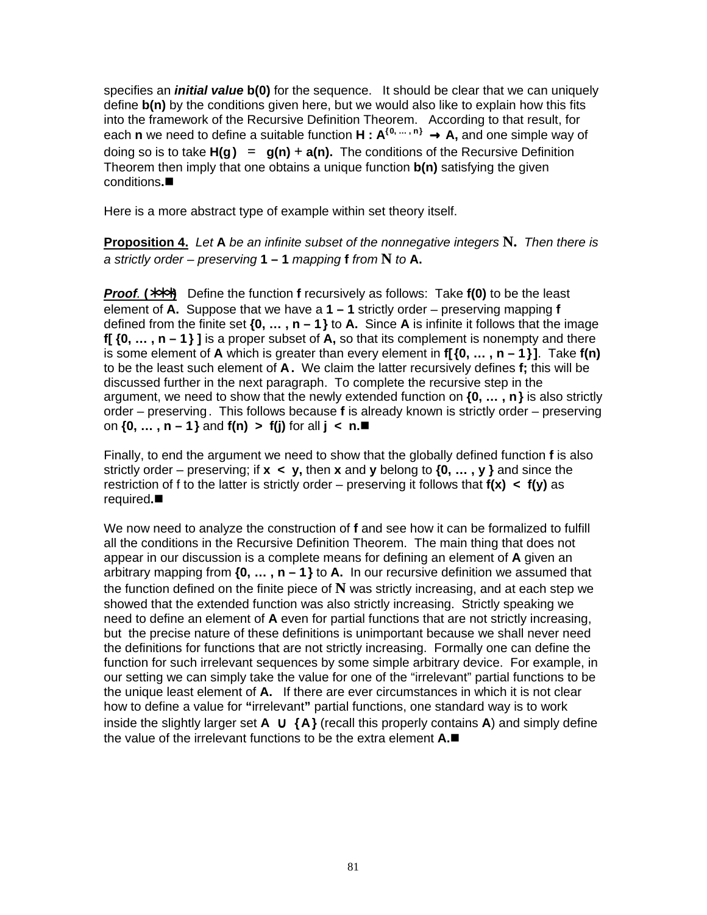specifies an **initial value b(0)** for the sequence. It should be clear that we can uniquely define **b(n)** by the conditions given here, but we would also like to explain how this fits into the framework of the Recursive Definition Theorem. According to that result, for each **n** we need to define a suitable function **H : A {0, … , n}** → **A,** and one simple way of doing so is to take  $H(g) = g(n) + a(n)$ . The conditions of the Recursive Definition Theorem then imply that one obtains a unique function **b(n)** satisfying the given conditions**.**

Here is a more abstract type of example within set theory itself.

**Proposition 4.** Let **A** be an infinite subset of the nonnegative integers **N.** Then there is a strictly order – preserving  $1 - 1$  mapping  $f$  from  $N$  to  $A$ .

**Proof**. **(**∗∗∗**)** Define the function **f** recursively as follows: Take **f(0)** to be the least element of **A.** Suppose that we have a **1 – 1** strictly order – preserving mapping **f** defined from the finite set **{0, … , n – 1}** to **A.** Since **A** is infinite it follows that the image **f[ {0, … , n – 1} ]** is a proper subset of **A,** so that its complement is nonempty and there is some element of **A** which is greater than every element in **f[{0, … , n – 1}]**. Take **f(n)** to be the least such element of **A.** We claim the latter recursively defines **f;** this will be discussed further in the next paragraph. To complete the recursive step in the argument, we need to show that the newly extended function on **{0, … , n}** is also strictly order – preserving. This follows because **f** is already known is strictly order – preserving on **{0, … , n – 1}** and **f(n) > f(j)** for all **j < n.**

Finally, to end the argument we need to show that the globally defined function **f** is also strictly order – preserving; if **x < y,** then **x** and **y** belong to **{0, … , y }** and since the restriction of f to the latter is strictly order – preserving it follows that **f(x) < f(y)** as required**.**

We now need to analyze the construction of **f** and see how it can be formalized to fulfill all the conditions in the Recursive Definition Theorem. The main thing that does not appear in our discussion is a complete means for defining an element of **A** given an arbitrary mapping from **{0, … , n – 1}** to **A.** In our recursive definition we assumed that the function defined on the finite piece of **N** was strictly increasing, and at each step we showed that the extended function was also strictly increasing. Strictly speaking we need to define an element of **A** even for partial functions that are not strictly increasing, but the precise nature of these definitions is unimportant because we shall never need the definitions for functions that are not strictly increasing. Formally one can define the function for such irrelevant sequences by some simple arbitrary device. For example, in our setting we can simply take the value for one of the "irrelevant" partial functions to be the unique least element of **A.** If there are ever circumstances in which it is not clear how to define a value for **"**irrelevant**"** partial functions, one standard way is to work inside the slightly larger set **A** ∪ **{A}** (recall this properly contains **A**) and simply define the value of the irrelevant functions to be the extra element **A.**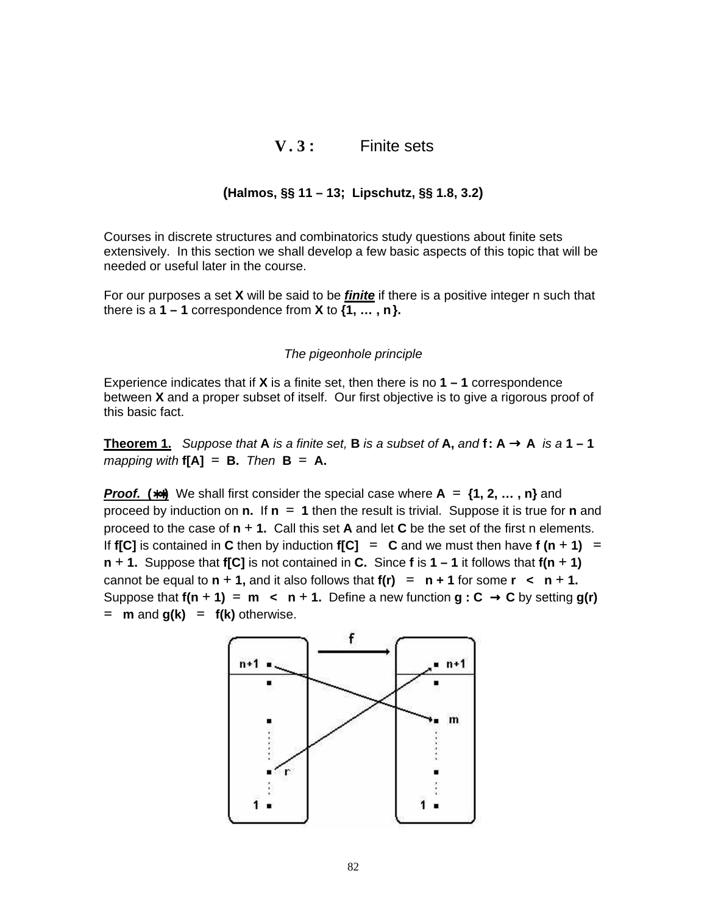### **V. 3 :** Finite sets

### **(Halmos, §§ 11 – 13; Lipschutz, §§ 1.8, 3.2)**

Courses in discrete structures and combinatorics study questions about finite sets extensively. In this section we shall develop a few basic aspects of this topic that will be needed or useful later in the course.

For our purposes a set **X** will be said to be **finite** if there is a positive integer n such that there is a  $1 - 1$  correspondence from  $X$  to  $\{1, \ldots, n\}$ .

#### The pigeonhole principle

Experience indicates that if **X** is a finite set, then there is no **1 – 1** correspondence between **X** and a proper subset of itself. Our first objective is to give a rigorous proof of this basic fact.

**Theorem 1.** Suppose that **A** is a finite set, **B** is a subset of **A**, and **f**: **A**  $\rightarrow$  **A** is a **1** - **1**  $mapping$  with  $f[A] = B$ . Then  $B = A$ .

**Proof. (**∗∗**)** We shall first consider the special case where **A = {1, 2, … , n}** and proceed by induction on **n.** If **n = 1** then the result is trivial. Suppose it is true for **n** and proceed to the case of  $n + 1$ . Call this set **A** and let **C** be the set of the first n elements. If **f[C]** is contained in **C** then by induction **f[C]** = **C** and we must then have **f**  $(n + 1)$  = **n + 1.** Suppose that **f[C]** is not contained in **C.** Since **f** is **1 – 1** it follows that **f(n + 1)** cannot be equal to  $n + 1$ , and it also follows that  $f(n) = n + 1$  for some  $r < n + 1$ . Suppose that  $f(n + 1) = m$  <br>**c**  $n + 1$ . Define a new function  $g: C \rightarrow C$  by setting  $g(r)$  $=$  **m** and  $g(k) = f(k)$  otherwise.

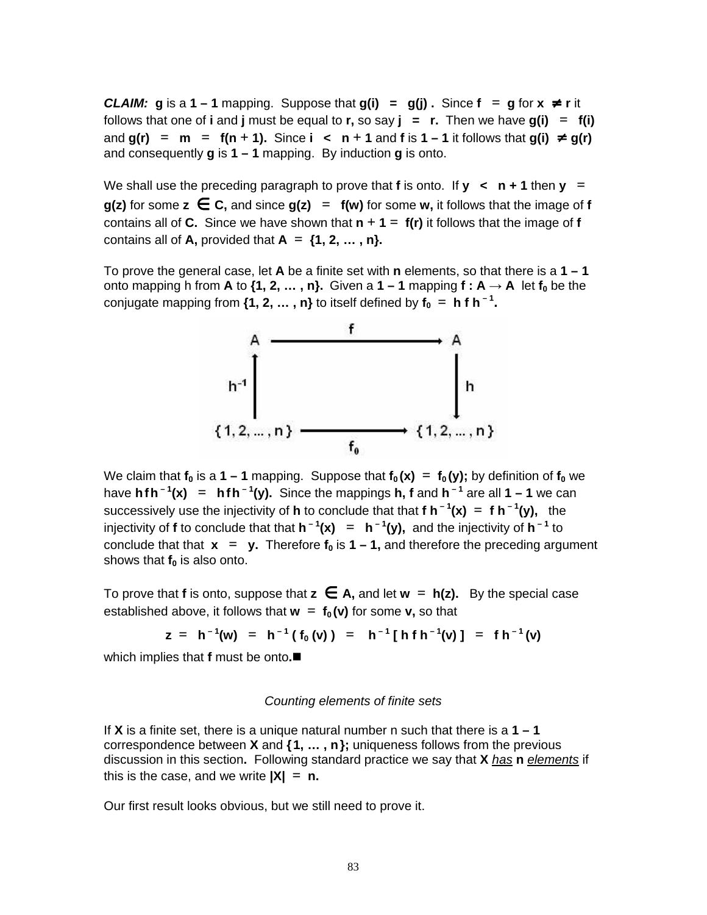**CLAIM: g** is a **1**  $-$ **1** mapping. Suppose that **g(i)** = **g(i)**. Since  $f = g$  for  $x \neq r$  it follows that one of **i** and **j** must be equal to **r**, so say  $\mathbf{j} = \mathbf{r}$ . Then we have  $g(\mathbf{i}) = f(\mathbf{i})$ and  $g(r)$  =  $m = f(n + 1)$ . Since **i** <  $n + 1$  and f is 1 − 1 it follows that  $g(i) \neq g(r)$ and consequently **g** is **1 – 1** mapping. By induction **g** is onto.

We shall use the preceding paragraph to prove that **f** is onto. If  $y \lt -n + 1$  then  $y =$ **g(z)** for some  $z \in C$ , and since  $g(z) = f(w)$  for some w, it follows that the image of f contains all of **C.** Since we have shown that  $n + 1 = f(r)$  it follows that the image of f contains all of **A**, provided that  $A = \{1, 2, \ldots, n\}$ .

To prove the general case, let **A** be a finite set with **n** elements, so that there is a **1 – 1** onto mapping h from **A** to  $\{1, 2, ..., n\}$ . Given a  $1 - 1$  mapping  $f : A \rightarrow A$  let  $f_0$  be the conjugate mapping from  $\{1, 2, ...\, , n\}$  to itself defined by  $\mathsf{f_0 = h f h^{-1}}$ .



We claim that  $f_0$  is a 1 – 1 mapping. Suppose that  $f_0(x) = f_0(y)$ ; by definition of  $f_0$  we have **hfh – 1 (x) = hfh – 1 (y).** Since the mappings **h, f** and **h – 1** are all **1 – 1** we can successively use the injectivity of **h** to conclude that that **f h – 1 (x) = f h – 1 (y),** the injectivity of **f** to conclude that that  $h^{-1}(x) = h^{-1}(y)$ , and the injectivity of  $h^{-1}$  to conclude that that  $x = y$ . Therefore  $f_0$  is  $1 - 1$ , and therefore the preceding argument shows that **f<sup>0</sup>** is also onto.

To prove that **f** is onto, suppose that **z** ∈ **A,** and let **w = h(z).** By the special case established above, it follows that  $w = f_0(v)$  for some v, so that

$$
z = h^{-1}(w) = h^{-1}(f_0(v)) = h^{-1}[h f h^{-1}(v)] = f h^{-1}(v)
$$

which implies that **f** must be onto**.**

#### Counting elements of finite sets

If **X** is a finite set, there is a unique natural number n such that there is a **1 – 1** correspondence between **X** and **{1, … , n};** uniqueness follows from the previous discussion in this section**.** Following standard practice we say that **X** has **n** elements if this is the case, and we write  $|X| = n$ .

Our first result looks obvious, but we still need to prove it.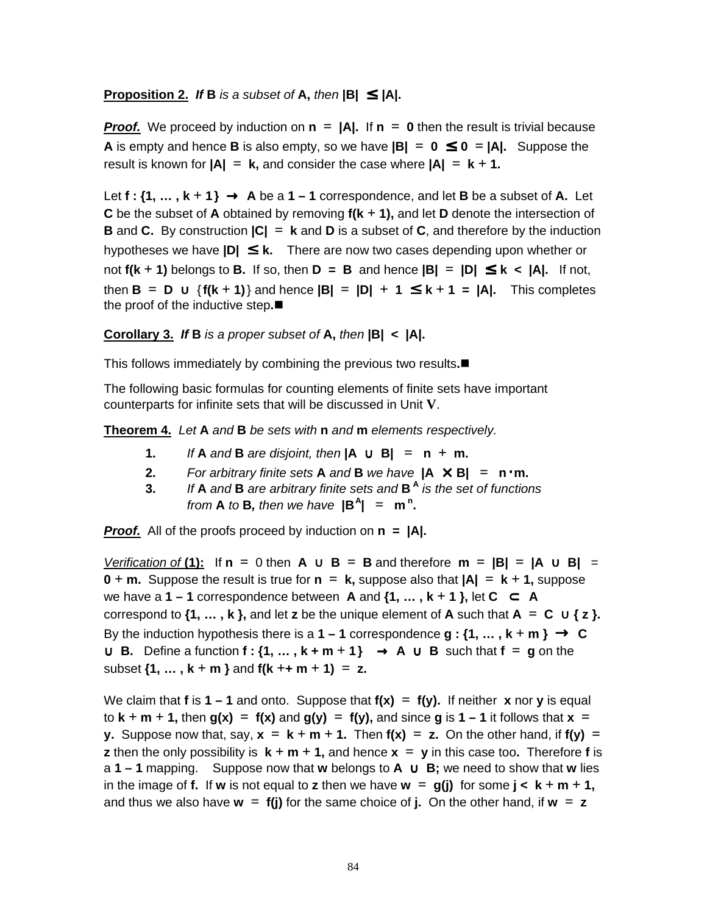### **Proposition 2.** If **B** is a subset of **A**, then  $|B| \leq |A|$ .

**Proof.** We proceed by induction on  $n = |A|$ . If  $n = 0$  then the result is trivial because **A** is empty and hence **B** is also empty, so we have  $|B| = 0 \le 0 = |A|$ . Suppose the result is known for  $|A| = k$ , and consider the case where  $|A| = k + 1$ .

Let  $f : \{1, \ldots, k+1\} \rightarrow A$  be a  $1-1$  correspondence, and let **B** be a subset of **A**. Let **C** be the subset of **A** obtained by removing **f(k + 1),** and let **D** denote the intersection of **B** and **C.** By construction **|C| = k** and **D** is a subset of **C**, and therefore by the induction hypotheses we have **|D|** ≤ **k.** There are now two cases depending upon whether or not  $f(k + 1)$  belongs to **B.** If so, then  $D = B$  and hence  $|B| = |D| \le k < |A|$ . If not, then **B = D** ∪ {**f(k + 1)**} and hence **|B| = |D| + 1** ≤ **k + 1 = |A|.** This completes the proof of the inductive step**.**

**Corollary 3. If B** is <sup>a</sup> proper subset of **A,** then **|B| < |A|.**

This follows immediately by combining the previous two results**.**

The following basic formulas for counting elements of finite sets have important counterparts for infinite sets that will be discussed in Unit **V**.

**Theorem 4.** Let **A** and **B** be sets with **n** and **m** elements respectively.

- **1.** If **A** and **B** are disjoint, then  $|A \cup B| = n + m$ .
- **2.** For arbitrary finite sets **A** and **B** we have  $|A \times B| = n \cdot m$ .
- **3.** If **A** and **B** are arbitrary finite sets and **B A** is the set of functions from **A** to **B**, then we have  $|B^A| = m^n$ .

**Proof.** All of the proofs proceed by induction on **n = |A|.**

Verification of **(1):** If **n =** 0 then **A** ∪ **B = B** and therefore **m = |B| = |A** ∪ **B|** = **0** + **m.** Suppose the result is true for  $n = k$ , suppose also that  $|A| = k + 1$ , suppose we have a **1** − **1** correspondence between **A** and  $\{1, ..., k + 1\}$ , let  $C \subset A$ correspond to  $\{1, \ldots, k\}$ , and let **z** be the unique element of **A** such that  $A = C \cup \{z\}$ . By the induction hypothesis there is a  $1 - 1$  correspondence  $g : \{1, \ldots, k + m\} \rightarrow C$ ∪ **B.** Define a function **f : {1, … , k + m + 1}** → **A** ∪ **B** such that **f = g** on the subset  $\{1, ..., k+m\}$  and  $f(k + m + 1) = z$ .

We claim that **f** is **1** – **1** and onto. Suppose that  $f(x) = f(y)$ . If neither **x** nor **y** is equal  $\mathbf{r} \cdot \mathbf{r} \cdot \mathbf{r} = \mathbf{r} \cdot \mathbf{r} + \mathbf{r} \cdot \mathbf{r} + \mathbf{r} \cdot \mathbf{r} = \mathbf{r} \cdot \mathbf{r} \cdot \mathbf{r} = \mathbf{r} \cdot \mathbf{r} \cdot \mathbf{r} = \mathbf{r} \cdot \mathbf{r} \cdot \mathbf{r} + \mathbf{r} \cdot \mathbf{r} = \mathbf{r} \cdot \mathbf{r} \cdot \mathbf{r} + \mathbf{r} \cdot \mathbf{r} + \mathbf{r} \cdot \mathbf{r} = \mathbf{r} \cdot \mathbf{r} \$ **y.** Suppose now that, say,  $x = k + m + 1$ . Then  $f(x) = z$ . On the other hand, if  $f(y) =$ **z** then the only possibility is  $k + m + 1$ , and hence  $x = y$  in this case too. Therefore f is a **1 – 1** mapping. Suppose now that **w** belongs to **A** ∪ **B;** we need to show that **w** lies in the image of **f.** If **w** is not equal to **z** then we have  $\bf{w} = g(j)$  for some  $j < \bf{k} + \bf{m} + 1$ , and thus we also have  $w = f(i)$  for the same choice of **j.** On the other hand, if  $w = z$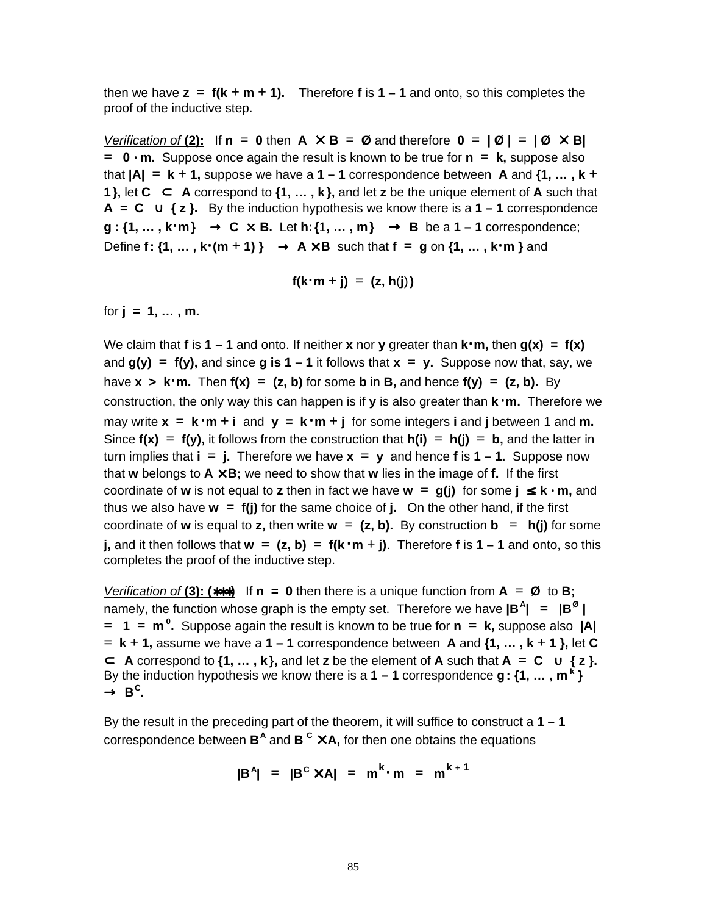then we have  $z = f(k + m + 1)$ . Therefore f is  $1 - 1$  and onto, so this completes the proof of the inductive step.

Verification of (2): If  $\mathbf{n} = \mathbf{0}$  then  $\mathbf{A} \times \mathbf{B} = \mathbf{\emptyset}$  and therefore  $\mathbf{0} = |\mathbf{\emptyset}| = |\mathbf{\emptyset} \times \mathbf{B}|$ **= 0** ⋅ **m.** Suppose once again the result is known to be true for **n = k,** suppose also that  $|A| = k + 1$ , suppose we have a  $1 - 1$  correspondence between A and  $\{1, \ldots, k + 1\}$ **1**}, let  $C \subset A$  correspond to  $\{1, \ldots, k\}$ , and let **z** be the unique element of **A** such that **A** = **C** ∪ { $z$ }. By the induction hypothesis we know there is a **1** − **1** correspondence **g : {1, … , k**⋅**m}** → **C** × **B.** Let **h:{**1**, … , m}** → **B** be a **1 – 1** correspondence;  $Define f: \{1, ..., k \cdot (m + 1)\} \rightarrow A \times B$  such that  $f = g$  on  $\{1, ..., k \cdot m\}$  and

$$
f(k \cdot m + j) = (z, h(j))
$$

for **j = 1, … , m.**

We claim that **f** is **1 – 1** and onto. If neither **x** nor **y** greater than **k**⋅**m,** then **g(x) = f(x)** and  $g(y) = f(y)$ , and since g is  $1 - 1$  it follows that  $x = y$ . Suppose now that, say, we have  $x > k \cdot m$ . Then  $f(x) = (z, b)$  for some **b** in **B**, and hence  $f(y) = (z, b)$ . By construction, the only way this can happen is if **y** is also greater than **k** ⋅**m.** Therefore we  $\mathbf{m}$  write  $\mathbf{x} = \mathbf{k} \cdot \mathbf{m} + \mathbf{i}$  and  $\mathbf{y} = \mathbf{k} \cdot \mathbf{m} + \mathbf{j}$  for some integers **i** and **j** between 1 and **m.** Since  $f(x) = f(y)$ , it follows from the construction that  $h(i) = h(j) = b$ , and the latter in turn implies that  $\mathbf{i} = \mathbf{j}$ . Therefore we have  $\mathbf{x} = \mathbf{y}$  and hence **f** is  $1 - 1$ . Suppose now that **w** belongs to  $A \times B$ ; we need to show that **w** lies in the image of f. If the first coordinate of **w** is not equal to **z** then in fact we have  $\bf{w} = \bf{q}(i)$  for some  $i \leq \bf{k} \cdot \bf{m}$ , and thus we also have  $w = f(j)$  for the same choice of j. On the other hand, if the first coordinate of **w** is equal to **z**, then write  $w = (z, b)$ . By construction  $b = h(j)$  for some **j,** and it then follows that  $\mathbf{w} = (\mathbf{z}, \mathbf{b}) = \mathbf{f}(\mathbf{k} \cdot \mathbf{m} + \mathbf{j})$ . Therefore **f** is  $1 - 1$  and onto, so this completes the proof of the inductive step.

Verification of **(3): (**∗∗∗**)** If **n = 0** then there is a unique function from **A = Ø** to **B;** namely, the function whose graph is the empty set. Therefore we have **|B A | = |B Ø | = 1 = m 0 .** Suppose again the result is known to be true for **n = k,** suppose also **|A|**  $=$  **k** + 1, assume we have a 1 – 1 correspondence between A and  $\{1, \ldots, k+1\}$ , let C  $\subset$  **A** correspond to  $\{1, \ldots, k\}$ , and let **z** be the element of **A** such that  $A = C \cup \{z\}$ . By the induction hypothesis we know there is a **1 – 1** correspondence **g: {1, … , m k }**  $\rightarrow$  B<sup>c</sup>.

By the result in the preceding part of the theorem, it will suffice to construct a **1 – 1** correspondence between **B A** and **B <sup>C</sup>** × **A,** for then one obtains the equations

$$
|B^A| = |B^C \times A| = m^k \cdot m = m^{k+1}
$$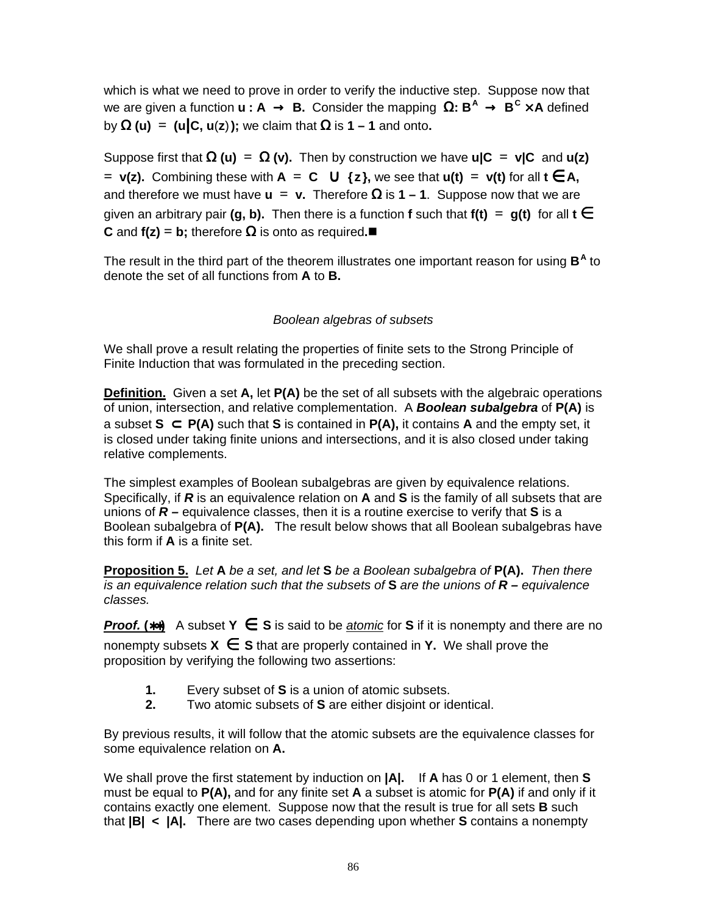which is what we need to prove in order to verify the inductive step. Suppose now that we are given a function **u : A** → **B.** Consider the mapping Ω**: B <sup>A</sup>** → **B C** × **A** defined by Ω **(u) = (u|C, u**(**z**)**);** we claim that Ω is **1 – 1** and onto**.**

Suppose first that  $\Omega$  (**u**) =  $\Omega$  (**v**). Then by construction we have **u**|C = **v**|C and **u(z)**  $=$  **<b>v(z).** Combining these with **A** = **C** ∪ {**z**}, we see that **u(t)** = **v(t)** for all **t**  $\in$  **A**, and therefore we must have  $\bf{u} = \bf{v}$ . Therefore  $\Omega$  is  $\bf{1} - \bf{1}$ . Suppose now that we are given an arbitrary pair **(g, b).** Then there is a function **f** such that  $f(t) = g(t)$  for all  $t \in$ **C** and **f(z)** = **b**; therefore  $\Omega$  is onto as required.■

The result in the third part of the theorem illustrates one important reason for using B<sup>A</sup> to denote the set of all functions from **A** to **B.**

### Boolean algebras of subsets

We shall prove a result relating the properties of finite sets to the Strong Principle of Finite Induction that was formulated in the preceding section.

**Definition.** Given a set **A,** let **P(A)** be the set of all subsets with the algebraic operations of union, intersection, and relative complementation. A **Boolean subalgebra** of **P(A)** is a subset **S** ⊂ **P(A)** such that **S** is contained in **P(A),** it contains **A** and the empty set, it is closed under taking finite unions and intersections, and it is also closed under taking relative complements.

The simplest examples of Boolean subalgebras are given by equivalence relations. Specifically, if **R** is an equivalence relation on **A** and **S** is the family of all subsets that are unions of **R –** equivalence classes, then it is a routine exercise to verify that **S** is a Boolean subalgebra of **P(A).** The result below shows that all Boolean subalgebras have this form if **A** is a finite set.

**Proposition 5.** Let **A** be <sup>a</sup> set, and let **S** be <sup>a</sup> Boolean subalgebra of **P(A).** Then there is an equivalence relation such that the subsets of **S** are the unions of **R –** equivalence classes.

**Proof. (**∗∗**)** A subset **Y** ∈ **S** is said to be atomic for **S** if it is nonempty and there are no nonempty subsets  $X \in S$  that are properly contained in Y. We shall prove the proposition by verifying the following two assertions:

- **1.** Every subset of **S** is a union of atomic subsets.
- **2.** Two atomic subsets of **S** are either disjoint or identical.

By previous results, it will follow that the atomic subsets are the equivalence classes for some equivalence relation on **A.**

We shall prove the first statement by induction on **|A|.** If **A** has 0 or 1 element, then **S** must be equal to **P(A),** and for any finite set **A** a subset is atomic for **P(A)** if and only if it contains exactly one element. Suppose now that the result is true for all sets **B** such that **|B| < |A|.** There are two cases depending upon whether **S** contains a nonempty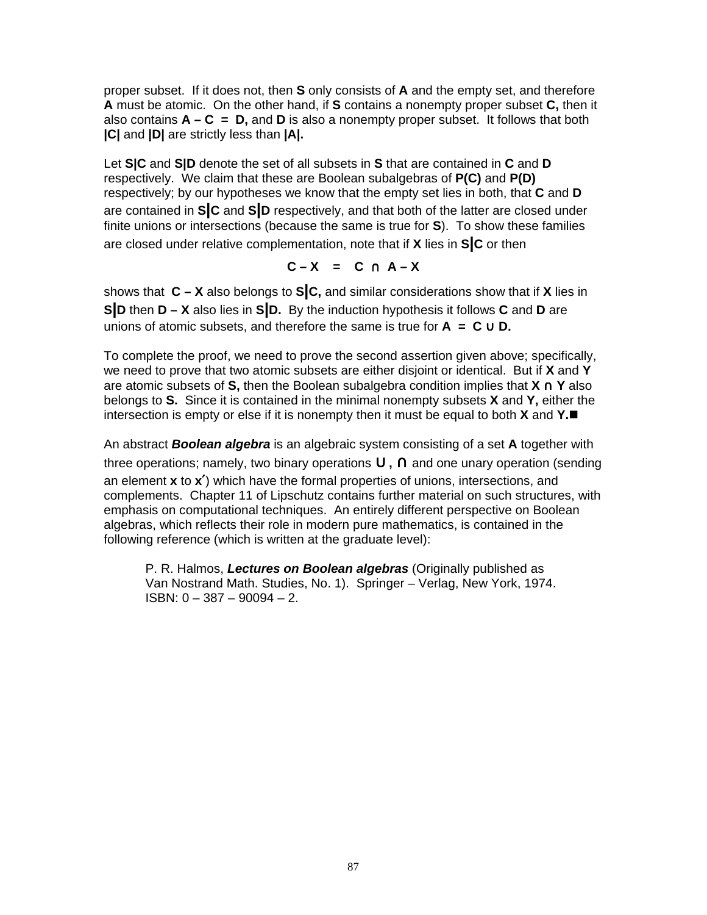proper subset. If it does not, then **S** only consists of **A** and the empty set, and therefore **A** must be atomic. On the other hand, if **S** contains a nonempty proper subset **C,** then it also contains **A – C = D,** and **D** is also a nonempty proper subset. It follows that both **|C|** and **|D|** are strictly less than **|A|.**

Let **S|C** and **S|D** denote the set of all subsets in **S** that are contained in **C** and **D** respectively. We claim that these are Boolean subalgebras of **P(C)** and **P(D)** respectively; by our hypotheses we know that the empty set lies in both, that **C** and **D** are contained in **S|C** and **S|D** respectively, and that both of the latter are closed under finite unions or intersections (because the same is true for **S**). To show these families are closed under relative complementation, note that if **X** lies in **S|C** or then

$$
C-X = C \cap A-X
$$

shows that **C – X** also belongs to **S|C,** and similar considerations show that if **X** lies in **S|D** then **D – X** also lies in **S|D.** By the induction hypothesis it follows **C** and **D** are unions of atomic subsets, and therefore the same is true for  $A = C \cup D$ .

To complete the proof, we need to prove the second assertion given above; specifically, we need to prove that two atomic subsets are either disjoint or identical. But if **X** and **Y** are atomic subsets of **S,** then the Boolean subalgebra condition implies that **X** ∩ **Y** also belongs to **S.** Since it is contained in the minimal nonempty subsets **X** and **Y,** either the intersection is empty or else if it is nonempty then it must be equal to both **X** and **Y.**

An abstract **Boolean algebra** is an algebraic system consisting of a set **A** together with three operations; namely, two binary operations ∪**,** ∩ and one unary operation (sending an element **x** to **x**′) which have the formal properties of unions, intersections, and complements. Chapter 11 of Lipschutz contains further material on such structures, with emphasis on computational techniques. An entirely different perspective on Boolean algebras, which reflects their role in modern pure mathematics, is contained in the following reference (which is written at the graduate level):

P. R. Halmos, **Lectures on Boolean algebras** (Originally published as Van Nostrand Math. Studies, No. 1). Springer – Verlag, New York, 1974. ISBN: 0 – 387 – 90094 – 2.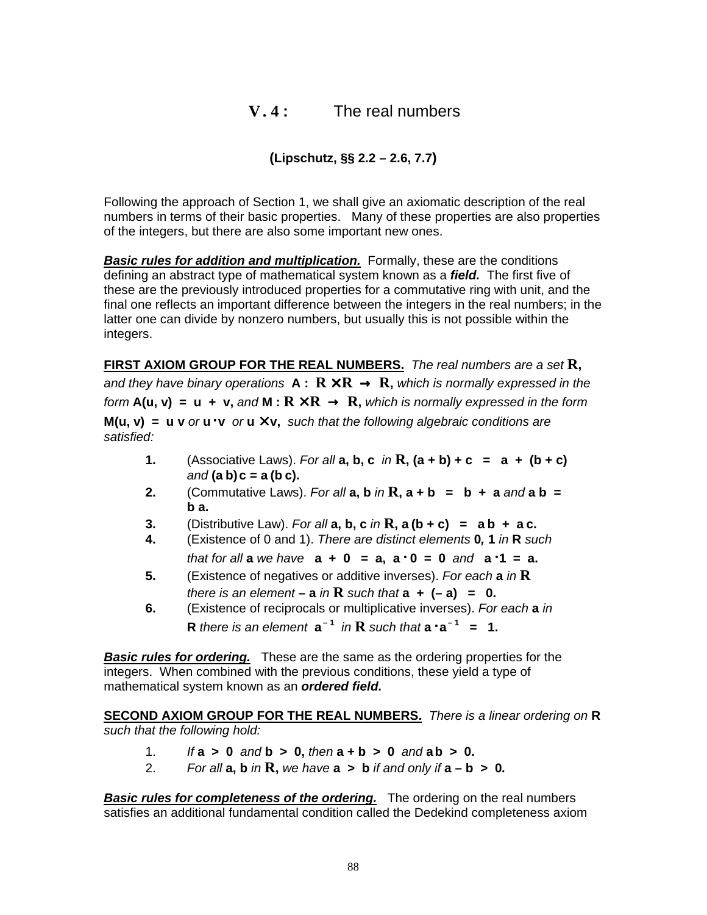# **V. 4 :** The real numbers

# **(Lipschutz, §§ 2.2 – 2.6, 7.7)**

Following the approach of Section 1, we shall give an axiomatic description of the real numbers in terms of their basic properties. Many of these properties are also properties of the integers, but there are also some important new ones.

**Basic rules for addition and multiplication.** Formally, these are the conditions defining an abstract type of mathematical system known as a **field.** The first five of these are the previously introduced properties for a commutative ring with unit, and the final one reflects an important difference between the integers in the real numbers; in the latter one can divide by nonzero numbers, but usually this is not possible within the integers.

**FIRST AXIOM GROUP FOR THE REAL NUMBERS.** The real numbers are <sup>a</sup> set **R,** and they have binary operations  $A: R \times R \rightarrow R$ , which is normally expressed in the form  $A(u, v) = u + v$ , and  $M: R \times R \rightarrow R$ , which is normally expressed in the form **M(u, v)** = **u v** or **u**  $\cdot$  **v** or **u**  $\times$  **v**, such that the following algebraic conditions are satisfied:

- **1.** (Associative Laws). For all **a**, **b**, **c** in **R**,  $(a + b) + c = a + (b + c)$ and **(a b)c = a (b c).**
- **2.** (Commutative Laws). For all **a**, **b** in **R**,  $a + b = b + a$  and  $a b =$ **b a.**
- **3.** (Distributive Law). For all **a**, **b**, **c** in **R**, **a** (**b** + **c**) = **a b** + **a c.**
- **4.** (Existence of 0 and 1). There are distinct elements **0, 1** in **R** such  $\frac{1}{2}$  that for all **a** we have  $a + 0 = a$ ,  $a \cdot 0 = 0$  and  $a \cdot 1 = a$ .
- **5.** (Existence of negatives or additive inverses). For each **a** in **R** there is an element –  $\bf{a}$  in  $\bf{R}$  such that  $\bf{a}$  +  $\bf{(-a)}$  =  $\bf{0}$ .
- **6.** (Existence of reciprocals or multiplicative inverses). For each **a** in **R** there is an element  $a^{-1}$  in **R** such that  $a \cdot a^{-1} = 1$ .

**Basic rules for ordering.** These are the same as the ordering properties for the integers. When combined with the previous conditions, these yield a type of mathematical system known as an **ordered field.**

**SECOND AXIOM GROUP FOR THE REAL NUMBERS.** There is <sup>a</sup> linear ordering on **R** such that the following hold:

- 1. If **a > 0** and **b > 0,** then **a + b > 0** and **ab > 0.**
- 2. For all  $a, b$  in  $R$ , we have  $a > b$  if and only if  $a b > 0$ .

**Basic rules for completeness of the ordering.** The ordering on the real numbers satisfies an additional fundamental condition called the Dedekind completeness axiom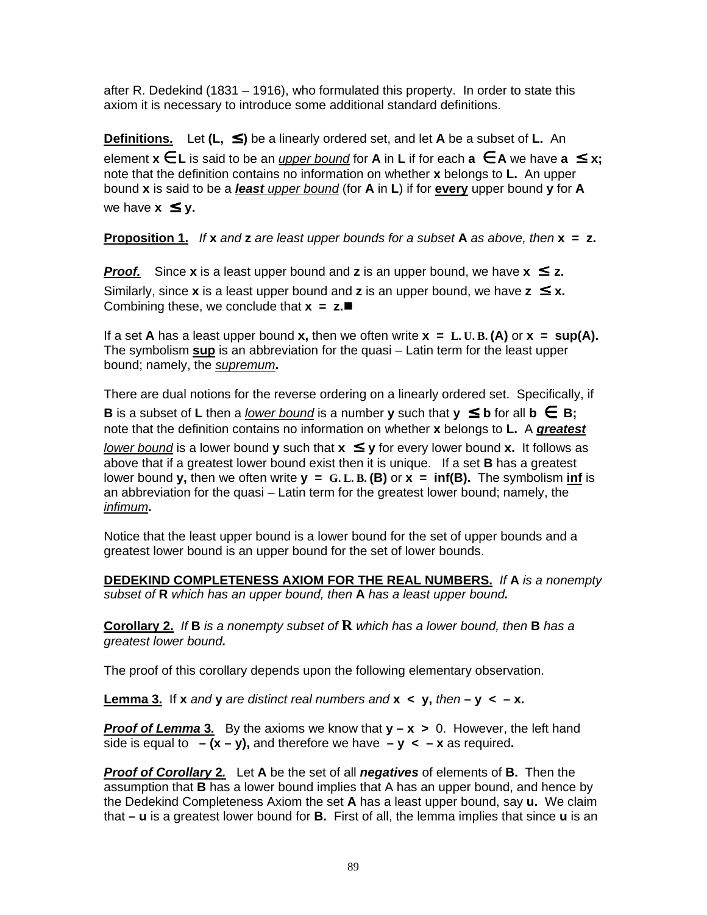after R. Dedekind (1831 – 1916), who formulated this property. In order to state this axiom it is necessary to introduce some additional standard definitions.

**Definitions.** Let **(L,** ≤ **)** be a linearly ordered set, and let **A** be a subset of **L.** An element  $x \in L$  is said to be an *upper bound* for **A** in **L** if for each  $a \in A$  we have  $a \leq x$ ; note that the definition contains no information on whether **x** belongs to **L.** An upper bound **x** is said to be a **least** upper bound (for **A** in **L**) if for **every** upper bound **y** for **A** we have  $x \leq v$ .

**Proposition 1.** If **x** and **z** are least upper bounds for <sup>a</sup> subset **A** as above, then **x = z.**

**Proof.** Since **x** is a least upper bound and **z** is an upper bound, we have  $x \le z$ . Similarly, since **x** is a least upper bound and **z** is an upper bound, we have  $z \le x$ . Combining these, we conclude that **x = z.**

If a set **A** has a least upper bound **x**, then we often write  $x = L$ . U.B. (A) or  $x = \sup(A)$ . The symbolism **sup** is an abbreviation for the quasi – Latin term for the least upper bound; namely, the supremum**.**

There are dual notions for the reverse ordering on a linearly ordered set. Specifically, if

**B** is a subset of **L** then a lower bound is a number **y** such that  $y \leq b$  for all  $b \in B$ ; note that the definition contains no information on whether **x** belongs to **L.** A **greatest**

lower bound is a lower bound **y** such that  $x \leq y$  for every lower bound **x**. It follows as above that if a greatest lower bound exist then it is unique. If a set **B** has a greatest lower bound **y**, then we often write  $y = G.L.B.(B)$  or  $x = inf(B)$ . The symbolism inf is an abbreviation for the quasi – Latin term for the greatest lower bound; namely, the infimum**.**

Notice that the least upper bound is a lower bound for the set of upper bounds and a greatest lower bound is an upper bound for the set of lower bounds.

**DEDEKIND COMPLETENESS AXIOM FOR THE REAL NUMBERS.** If **A** is <sup>a</sup> nonempty subset of **R** which has an upper bound, then **A** has <sup>a</sup> least upper bound**.**

**Corollary 2.** If **B** is <sup>a</sup> nonempty subset of **R** which has <sup>a</sup> lower bound, then **B** has <sup>a</sup> greatest lower bound**.**

The proof of this corollary depends upon the following elementary observation.

**Lemma 3.** If **x** and **y** are distinct real numbers and **x**  $\lt$  **y**, then  $-\mathbf{y} \lt -\mathbf{x}$ .

**Proof of Lemma 3.** By the axioms we know that  $y - x > 0$ . However, the left hand side is equal to  $(x - y)$ , and therefore we have  $-y < -x$  as required.

**Proof of Corollary 2.** Let **A** be the set of all **negatives** of elements of **B.** Then the assumption that **B** has a lower bound implies that A has an upper bound, and hence by the Dedekind Completeness Axiom the set **A** has a least upper bound, say **u.** We claim that **– u** is a greatest lower bound for **B.** First of all, the lemma implies that since **u** is an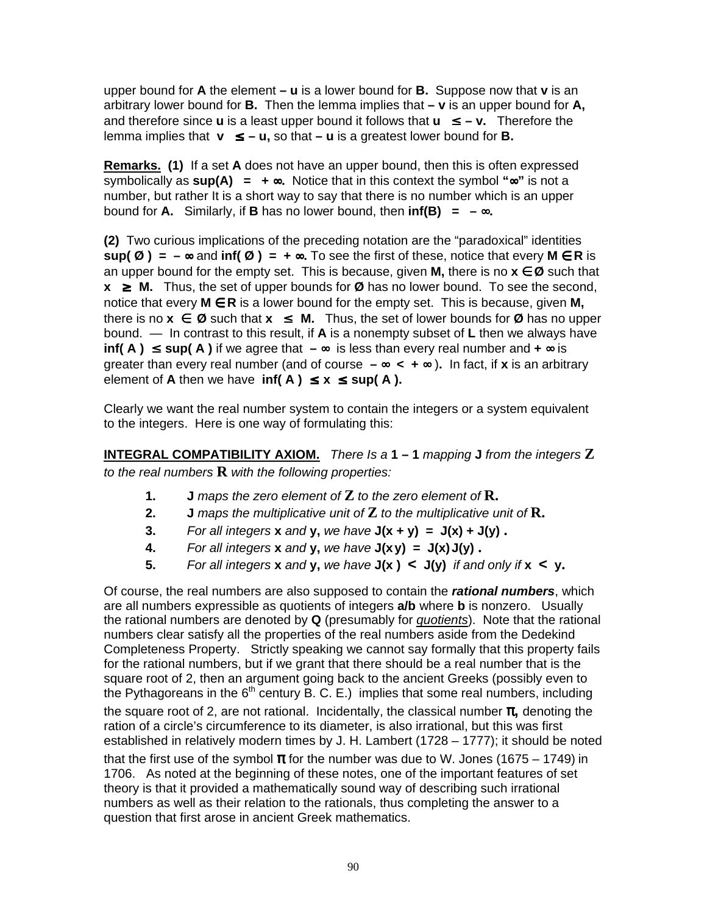upper bound for **A** the element **– u** is a lower bound for **B.** Suppose now that **v** is an arbitrary lower bound for **B.** Then the lemma implies that **– v** is an upper bound for **A,** and therefore since **u** is a least upper bound it follows that  $\mathbf{u} \leq -\mathbf{v}$ . Therefore the lemma implies that **v** ≤ **– u,** so that **– u** is a greatest lower bound for **B.**

**Remarks. (1)** If a set **A** does not have an upper bound, then this is often expressed symbolically as **sup(A) = +** ∞**.** Notice that in this context the symbol **"**∞**"** is not a number, but rather It is a short way to say that there is no number which is an upper bound for **A.** Similarly, if **B** has no lower bound, then  $\text{inf(B)} = -\infty$ .

**(2)** Two curious implications of the preceding notation are the "paradoxical" identities **sup(** $\emptyset$ ) = − ∞ and **inf(** $\emptyset$ ) = + ∞. To see the first of these, notice that every M  $\in$  R is an upper bound for the empty set. This is because, given **M**, there is no  $x \in \mathcal{D}$  such that **x** ≥ **M.** Thus, the set of upper bounds for **Ø** has no lower bound. To see the second, notice that every **M** ∈ **R** is a lower bound for the empty set. This is because, given **M,** there is no  $x$  ∈  $\emptyset$  such that  $x \leq M$ . Thus, the set of lower bounds for  $\emptyset$  has no upper bound. — In contrast to this result, if **A** is a nonempty subset of **L** then we always have **inf( A** ) ≤ **sup( A** ) if we agree that  $-\infty$  is less than every real number and  $+\infty$  is greater than every real number (and of course **–** ∞ **< +** ∞ )**.** In fact, if **x** is an arbitrary element of **A** then we have  $\inf(A) \leq x \leq \sup(A)$ .

Clearly we want the real number system to contain the integers or a system equivalent to the integers. Here is one way of formulating this:

**INTEGRAL COMPATIBILITY AXIOM.** There Is <sup>a</sup> **1 – 1** mapping **J** from the integers **Z** to the real numbers **R** with the following properties:

- **1. J** maps the zero element of **Z** to the zero element of **R.**
- **2. J** maps the multiplicative unit of **Z** to the multiplicative unit of **R.**
- **3.** For all integers **x** and **y**, we have  $J(x + y) = J(x) + J(y)$ .
- **4.** For all integers **x** and **y**, we have  $J(xy) = J(x)J(y)$ .
- **5.** For all integers **x** and **y**, we have  $J(x) < J(y)$  if and only if  $x < y$ .

Of course, the real numbers are also supposed to contain the **rational numbers**, which are all numbers expressible as quotients of integers **a/b** where **b** is nonzero. Usually the rational numbers are denoted by **Q** (presumably for quotients). Note that the rational numbers clear satisfy all the properties of the real numbers aside from the Dedekind Completeness Property. Strictly speaking we cannot say formally that this property fails for the rational numbers, but if we grant that there should be a real number that is the square root of 2, then an argument going back to the ancient Greeks (possibly even to the Pythagoreans in the  $6<sup>th</sup>$  century B. C. E.) implies that some real numbers, including the square root of 2, are not rational. Incidentally, the classical number π**,** denoting the ration of a circle's circumference to its diameter, is also irrational, but this was first established in relatively modern times by J. H. Lambert (1728 – 1777); it should be noted that the first use of the symbol  $\pi$  for the number was due to W. Jones (1675 – 1749) in 1706. As noted at the beginning of these notes, one of the important features of set theory is that it provided a mathematically sound way of describing such irrational numbers as well as their relation to the rationals, thus completing the answer to a question that first arose in ancient Greek mathematics.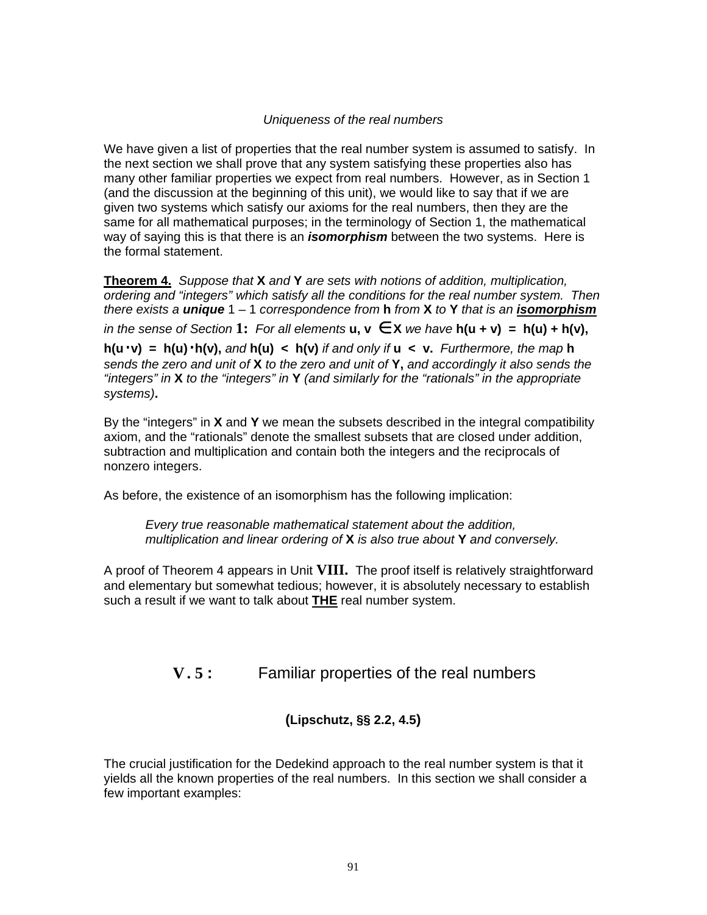### Uniqueness of the real numbers

We have given a list of properties that the real number system is assumed to satisfy. In the next section we shall prove that any system satisfying these properties also has many other familiar properties we expect from real numbers. However, as in Section 1 (and the discussion at the beginning of this unit), we would like to say that if we are given two systems which satisfy our axioms for the real numbers, then they are the same for all mathematical purposes; in the terminology of Section 1, the mathematical way of saying this is that there is an **isomorphism** between the two systems. Here is the formal statement.

**Theorem 4.** Suppose that **X** and **Y** are sets with notions of addition, multiplication, ordering and "integers" which satisfy all the conditions for the real number system. Then there exists <sup>a</sup> **unique** 1 – 1 correspondence from **h** from **X** to **Y** that is an **isomorphism** in the sense of Section **1:** For all elements **u, v** ∈ **X** we have **h(u + v) = h(u) + h(v), h(u**⋅**v) = h(u)**⋅**h(v),** and **h(u) < h(v)** if and only if **u < v.** Furthermore, the map **h** sends the zero and unit of **X** to the zero and unit of **Y,** and accordingly it also sends the "integers" in **X** to the "integers" in **Y** (and similarly for the "rationals" in the appropriate systems)**.**

By the "integers" in **X** and **Y** we mean the subsets described in the integral compatibility axiom, and the "rationals" denote the smallest subsets that are closed under addition, subtraction and multiplication and contain both the integers and the reciprocals of nonzero integers.

As before, the existence of an isomorphism has the following implication:

Every true reasonable mathematical statement about the addition, multiplication and linear ordering of **X** is also true about **Y** and conversely.

A proof of Theorem 4 appears in Unit **VIII.** The proof itself is relatively straightforward and elementary but somewhat tedious; however, it is absolutely necessary to establish such a result if we want to talk about **THE** real number system.

# **V. 5 :** Familiar properties of the real numbers

# **(Lipschutz, §§ 2.2, 4.5)**

The crucial justification for the Dedekind approach to the real number system is that it yields all the known properties of the real numbers. In this section we shall consider a few important examples: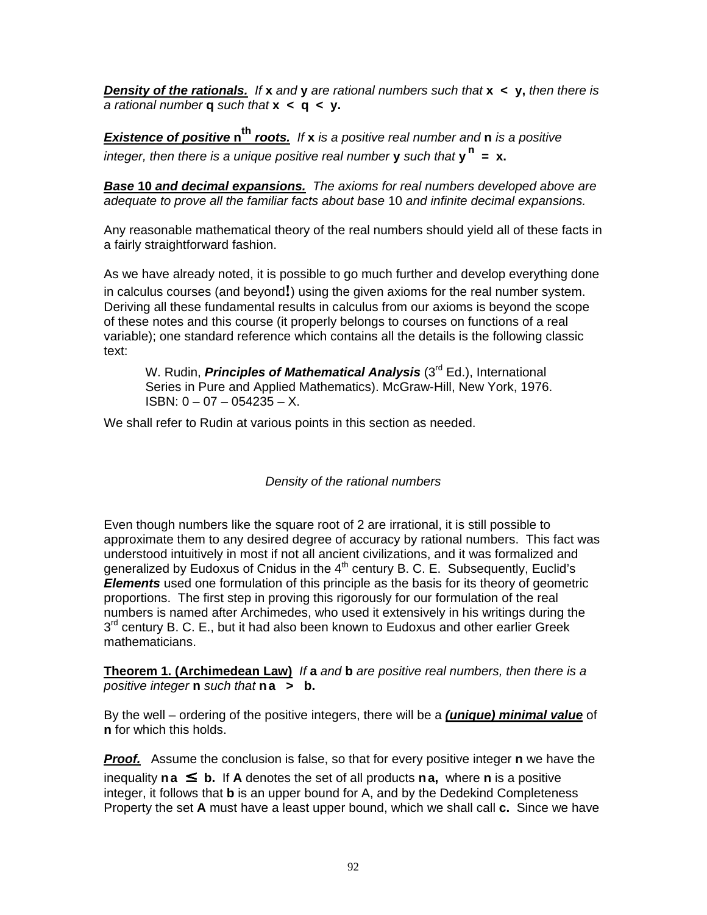**Density of the rationals.** If **x** and **y** are rational numbers such that **x < y,** then there is <sup>a</sup> rational number **q** such that **x < q < y.**

**Existence of positive n th roots.** If **x** is <sup>a</sup> positive real number and **n** is <sup>a</sup> positive integer, then there is a unique positive real number **y** such that  $y^n = x$ .

**Base 10 and decimal expansions.** The axioms for real numbers developed above are adequate to prove all the familiar facts about base 10 and infinite decimal expansions.

Any reasonable mathematical theory of the real numbers should yield all of these facts in a fairly straightforward fashion.

As we have already noted, it is possible to go much further and develop everything done in calculus courses (and beyond**!**) using the given axioms for the real number system. Deriving all these fundamental results in calculus from our axioms is beyond the scope of these notes and this course (it properly belongs to courses on functions of a real variable); one standard reference which contains all the details is the following classic text:

W. Rudin, **Principles of Mathematical Analysis** (3 rd Ed.), International Series in Pure and Applied Mathematics). McGraw-Hill, New York, 1976. ISBN:  $0 - 07 - 054235 - X$ .

We shall refer to Rudin at various points in this section as needed.

Density of the rational numbers

Even though numbers like the square root of 2 are irrational, it is still possible to approximate them to any desired degree of accuracy by rational numbers. This fact was understood intuitively in most if not all ancient civilizations, and it was formalized and generalized by Eudoxus of Cnidus in the  $4<sup>th</sup>$  century B. C. E. Subsequently, Euclid's **Elements** used one formulation of this principle as the basis for its theory of geometric proportions. The first step in proving this rigorously for our formulation of the real numbers is named after Archimedes, who used it extensively in his writings during the 3<sup>rd</sup> century B. C. E., but it had also been known to Eudoxus and other earlier Greek mathematicians.

**Theorem 1. (Archimedean Law)** If **a** and **b** are positive real numbers, then there is <sup>a</sup> positive integer **n** such that **na > b.**

By the well – ordering of the positive integers, there will be a **(unique) minimal value** of **n** for which this holds.

**Proof.** Assume the conclusion is false, so that for every positive integer **n** we have the inequality  $n a \leq b$ . If A denotes the set of all products  $n a$ , where  $n$  is a positive integer, it follows that **b** is an upper bound for A, and by the Dedekind Completeness Property the set **A** must have a least upper bound, which we shall call **c.** Since we have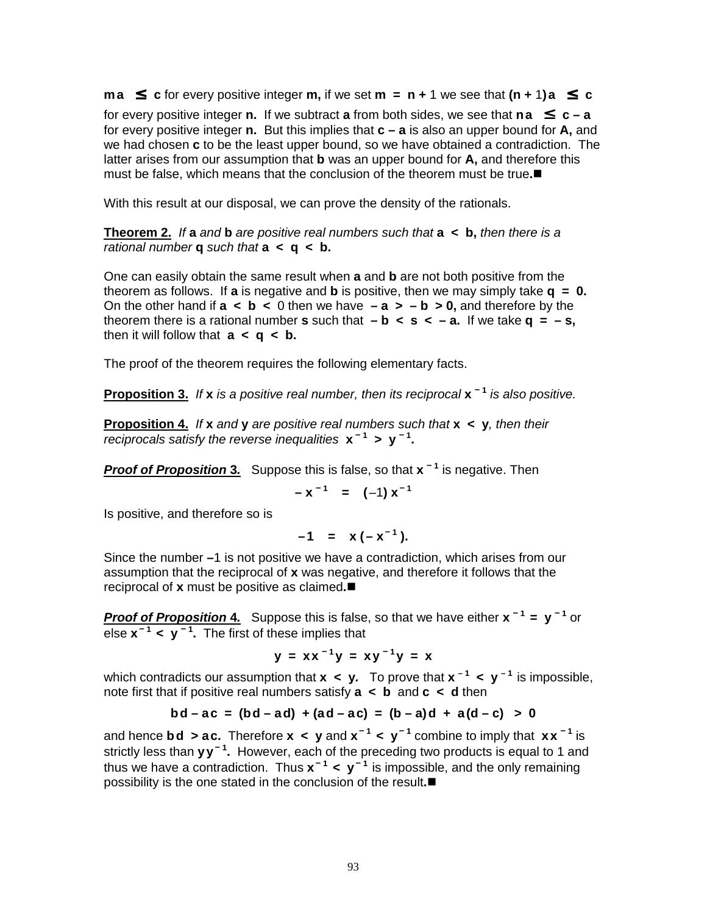**ma** ≤ **c** for every positive integer **m**, if we set **m** = **n** + 1 we see that  $(n + 1)a$  ≤ **c** for every positive integer **n.** If we subtract **a** from both sides, we see that **na**  $\leq$  **c** – **a** for every positive integer **n.** But this implies that **c – a** is also an upper bound for **A,** and we had chosen **c** to be the least upper bound, so we have obtained a contradiction. The latter arises from our assumption that **b** was an upper bound for **A,** and therefore this must be false, which means that the conclusion of the theorem must be true**.**

With this result at our disposal, we can prove the density of the rationals.

**Theorem 2.** If **a** and **b** are positive real numbers such that **a < b,** then there is <sup>a</sup> rational number **q** such that **a < q < b.**

One can easily obtain the same result when **a** and **b** are not both positive from the theorem as follows. If **a** is negative and **b** is positive, then we may simply take **q = 0.** On the other hand if  $a < b < 0$  then we have  $-a > -b > 0$ , and therefore by the theorem there is a rational number **s** such that  $-\mathbf{b} < \mathbf{s} < -\mathbf{a}$ . If we take  $\mathbf{q} = -\mathbf{s}$ , then it will follow that  $a < q < b$ .

The proof of the theorem requires the following elementary facts.

**Proposition 3.** If **x** is a positive real number, then its reciprocal **x**<sup>-1</sup> is also positive.

**Proposition 4.** If **x** and **y** are positive real numbers such that **x < y**, then their reciprocals satisfy the reverse inequalities  $x^{-1} > y^{-1}$ .

**Proof of Proposition 3.** Suppose this is false, so that **x – 1** is negative. Then

$$
-x^{-1}
$$
 = (-1)  $x^{-1}$ 

Is positive, and therefore so is

$$
-1 = x(-x^{-1}).
$$

Since the number **–**1 is not positive we have a contradiction, which arises from our assumption that the reciprocal of **x** was negative, and therefore it follows that the reciprocal of **x** must be positive as claimed**.**

**Proof of Proposition 4.** Suppose this is false, so that we have either **x – 1 = y – 1** or else **x – 1 < y – 1 .** The first of these implies that

$$
y = xx^{-1}y = xy^{-1}y = x
$$

which contradicts our assumption that **x < y.** To prove that **x – 1 < y – 1** is impossible, note first that if positive real numbers satisfy **a < b** and **c < d** then

$$
bd - ac = (bd - ad) + (ad - ac) = (b - a)d + a(d - c) > 0
$$

and hence **b d** > ac. Therefore  $x < y$  and  $x^{-1} < y^{-1}$  combine to imply that  $xx^{-1}$  is strictly less than  $yy^{-1}$ . However, each of the preceding two products is equal to 1 and thus we have a contradiction. Thus **x – 1 < y – 1** is impossible, and the only remaining possibility is the one stated in the conclusion of the result**.**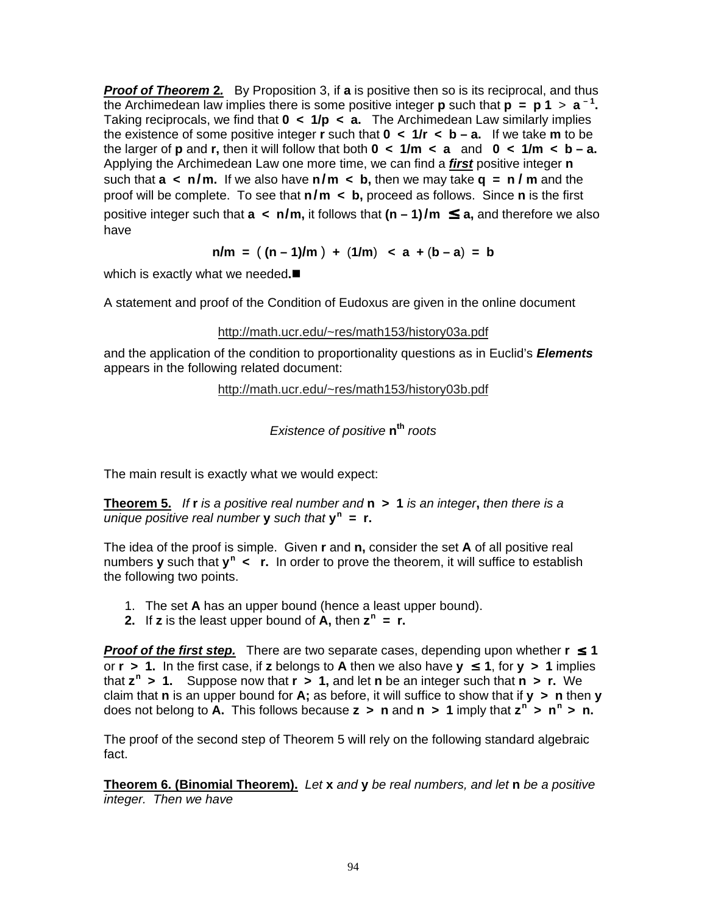**Proof of Theorem 2.** By Proposition 3, if **a** is positive then so is its reciprocal, and thus the Archimedean law implies there is some positive integer **p** such that  $p = p 1 > a^{-1}$ . Taking reciprocals, we find that **0 < 1/p < a.** The Archimedean Law similarly implies the existence of some positive integer **r** such that  $0 \lt 1/r \lt b - a$ . If we take **m** to be the larger of **p** and **r,** then it will follow that both **0 < 1/m < a** and **0 < 1/m < b – a.** Applying the Archimedean Law one more time, we can find a **first** positive integer **n** such that  $a < n/m$ . If we also have  $n/m < b$ , then we may take  $q = n/m$  and the proof will be complete. To see that **n/m < b,** proceed as follows. Since **n** is the first positive integer such that  $a \lt n/m$ , it follows that  $(n-1)/m \le a$ , and therefore we also have

 $n/m = (n-1)/m + (1/m) < (n-1)/m$ 

which is exactly what we needed**.**

A statement and proof of the Condition of Eudoxus are given in the online document

### http://math.ucr.edu/~res/math153/history03a.pdf

and the application of the condition to proportionality questions as in Euclid's **Elements** appears in the following related document:

http://math.ucr.edu/~res/math153/history03b.pdf

Existence of positive **n th** roots

The main result is exactly what we would expect:

**Theorem 5.** If **r** is <sup>a</sup> positive real number and **n > 1** is an integer**,** then there is <sup>a</sup> unique positive real number **y** such that **y n = r.**

The idea of the proof is simple. Given **r** and **n,** consider the set **A** of all positive real numbers **y** such that **y**<sup>n</sup> < **r.** In order to prove the theorem, it will suffice to establish the following two points.

- 1. The set **A** has an upper bound (hence a least upper bound).
- **2.** If **z** is the least upper bound of  $\mathbf{A}$ , then  $\mathbf{z}^n = \mathbf{r}$ .

**Proof of the first step.** There are two separate cases, depending upon whether  $r \le 1$ or  $r > 1$ . In the first case, if **z** belongs to **A** then we also have  $y \le 1$ , for  $y > 1$  implies that **z n > 1.** Suppose now that **r > 1,** and let **n** be an integer such that **n > r.** We claim that **n** is an upper bound for **A;** as before, it will suffice to show that if **y > n** then **y** does not belong to **A.** This follows because **z > n** and **n > 1** imply that **z n > n n > n.**

The proof of the second step of Theorem 5 will rely on the following standard algebraic fact.

**Theorem 6. (Binomial Theorem).** Let **x** and **y** be real numbers, and let **n** be <sup>a</sup> positive integer. Then we have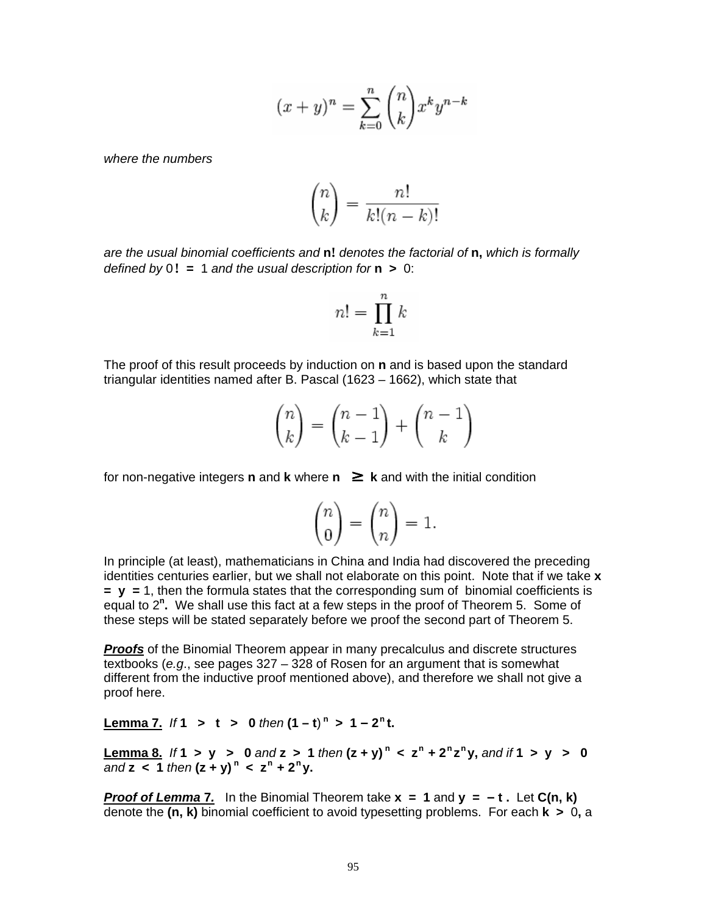$$
(x+y)^n = \sum_{k=0}^n \binom{n}{k} x^k y^{n-k}
$$

where the numbers

$$
\binom{n}{k} = \frac{n!}{k!(n-k)!}
$$

are the usual binomial coefficients and **n!** denotes the factorial of **n,** which is formally defined by 0**! =** 1 and the usual description for **n >** 0:

$$
n! = \prod_{k=1}^{n} k
$$

The proof of this result proceeds by induction on **n** and is based upon the standard triangular identities named after B. Pascal (1623 – 1662), which state that

$$
\binom{n}{k} = \binom{n-1}{k-1} + \binom{n-1}{k}
$$

for non-negative integers **n** and **k** where  $n \geq k$  and with the initial condition

$$
\binom{n}{0} = \binom{n}{n} = 1.
$$

In principle (at least), mathematicians in China and India had discovered the preceding identities centuries earlier, but we shall not elaborate on this point. Note that if we take **x = y =** 1, then the formula states that the corresponding sum of binomial coefficients is equal to 2<sup>n</sup>. We shall use this fact at a few steps in the proof of Theorem 5. Some of these steps will be stated separately before we proof the second part of Theorem 5.

**Proofs** of the Binomial Theorem appear in many precalculus and discrete structures textbooks (e.g., see pages 327 – 328 of Rosen for an argument that is somewhat different from the inductive proof mentioned above), and therefore we shall not give a proof here.

**Lemma 7.** If **1**  $>$  **t**  $>$  **0** then  $(1-t)^n$   $>$   $1-2^n$ **t.** 

**Lemma 8.** If 1 > y > 0 and z > 1 then  $(z + y)^n < z^n + 2^n z^n y$ , and if 1 > y > 0  $\frac{1}{2}$  and **z** < 1 then  $(z + y)^n$  <  $z^n + 2^n y$ .

**Proof of Lemma 7.** In the Binomial Theorem take  $x = 1$  and  $y = -t$ . Let  $C(n, k)$ denote the **(n, k)** binomial coefficient to avoid typesetting problems. For each **k >** 0**,** a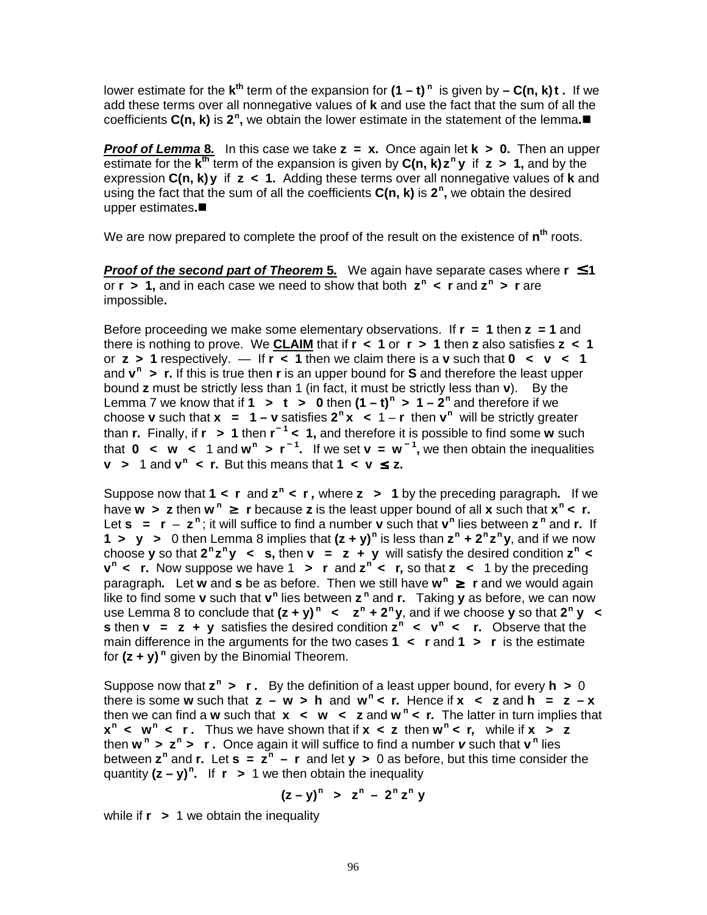lower estimate for the **k**<sup>th</sup> term of the expansion for  $(1 - t)$ <sup>n</sup> is given by – C(n, k)t . If we add these terms over all nonnegative values of **k** and use the fact that the sum of all the coefficients **C(n, k)** is 2<sup>n</sup>, we obtain the lower estimate in the statement of the lemma.■

**Proof of Lemma 8.** In this case we take **z = x.** Once again let **k > 0.** Then an upper estimate for the **k th** term of the expansion is given by **C(n, k) z n y** if **z > 1,** and by the expression **C(n, k)y** if **z < 1.** Adding these terms over all nonnegative values of **k** and using the fact that the sum of all the coefficients **C(n, k)** is **2 n ,** we obtain the desired upper estimates**.**

We are now prepared to complete the proof of the result on the existence of **n th** roots.

**Proof of the second part of Theorem 5.** We again have separate cases where **r** ≤ **1** or **r > 1,** and in each case we need to show that both **z n < r** and **z n > r** are impossible**.**

Before proceeding we make some elementary observations. If **r = 1** then **z = 1** and there is nothing to prove. We **CLAIM** that if **r < 1** or **r > 1** then **z** also satisfies **z < 1** or  $z > 1$  respectively.  $-$  If  $r < 1$  then we claim there is a **v** such that  $0 < v < 1$ and **v n > r.** If this is true then **r** is an upper bound for **S** and therefore the least upper bound **z** must be strictly less than 1 (in fact, it must be strictly less than **v**). By the Lemma 7 we know that if  $1 > t > 0$  then  $(1-t)^n > 1-2^n$  and therefore if we choose **v** such that  $x = 1 - v$  satisfies  $2^n x < 1 - r$  then  $v^n$  will be strictly greater than **r.** Finally, if **r > 1** then **r – 1 < 1,** and therefore it is possible to find some **w** such that **0**  $\lt$  **w**  $\lt$  1 and **w**<sup>n</sup>  $\gt$  **r**<sup>-1</sup>. If we set **v** = **w**<sup>-1</sup>, we then obtain the inequalities **v** > 1 and  $v^n$  < **r.** But this means that  $1 \lt v \le z$ .

Suppose now that  $1 \lt r$  and  $z^n \lt r$ , where  $z > 1$  by the preceding paragraph. If we have **w > z** then **w n** ≥ **r** because **z** is the least upper bound of all **x** such that **x n < r.** Let  $s = r - z^n$ ; it will suffice to find a number **v** such that  $v^n$  lies between  $z^n$  and **r.** If **1** > **y** > 0 then Lemma 8 implies that  $(z + y)^n$  is less than  $z^n + 2^n z^n y$ , and if we now choose **y** so that  $2^n z^n y \leq s$ , then  $v = z + y$  will satisfy the desired condition  $z^n \leq$ **v n < r.** Now suppose we have 1 **<sup>&</sup>gt; r** and **z n <sup>&</sup>lt; r,** so that **z <sup>&</sup>lt;** 1 by the preceding paragraph**.** Let **w** and **s** be as before. Then we still have **w n** ≥ **r** and we would again like to find some **v** such that **v**<sup>n</sup> lies between **z**<sup>n</sup> and **r.** Taking **y** as before, we can now use Lemma 8 to conclude that  $(z + y)^n$   $\lt$   $z^n + 2^n y$ , and if we choose y so that  $2^n y \lt$ **s** then **v** = **z** + **y** satisfies the desired condition  $\mathbf{z}^n \leq \mathbf{v}^n \leq \mathbf{r}$ . Observe that the main difference in the arguments for the two cases **1 <sup>&</sup>lt; r** and **1 <sup>&</sup>gt; r** is the estimate for **(z + y) n** given by the Binomial Theorem.

Suppose now that **z n <sup>&</sup>gt; r .** By the definition of a least upper bound, for every **h <sup>&</sup>gt;** 0 there is some **w** such that  $z - w > h$  and  $w<sup>n</sup> < r$ . Hence if  $x < z$  and  $h = z - x$ then we can find a **w** such that **x < w < z** and **w n <sup>&</sup>lt; r.** The latter in turn implies that  $x^n$  < **w**<sup>n</sup> < **r**. Thus we have shown that if  $x$  < **z** then  $w^n$  < **r**, while if  $x > z$ then  $w^n$  >  $z^n$  >  $r$ . Once again it will suffice to find a number  $v$  such that  $v^n$  lies between **z n** and **r.** Let **s = z n – r** and let **y >** 0 as before, but this time consider the quantity **(z – y) n .** If **r >** 1 we then obtain the inequality

$$
(z-y)^n > z^n - 2^n z^n y
$$

while if **r >** 1 we obtain the inequality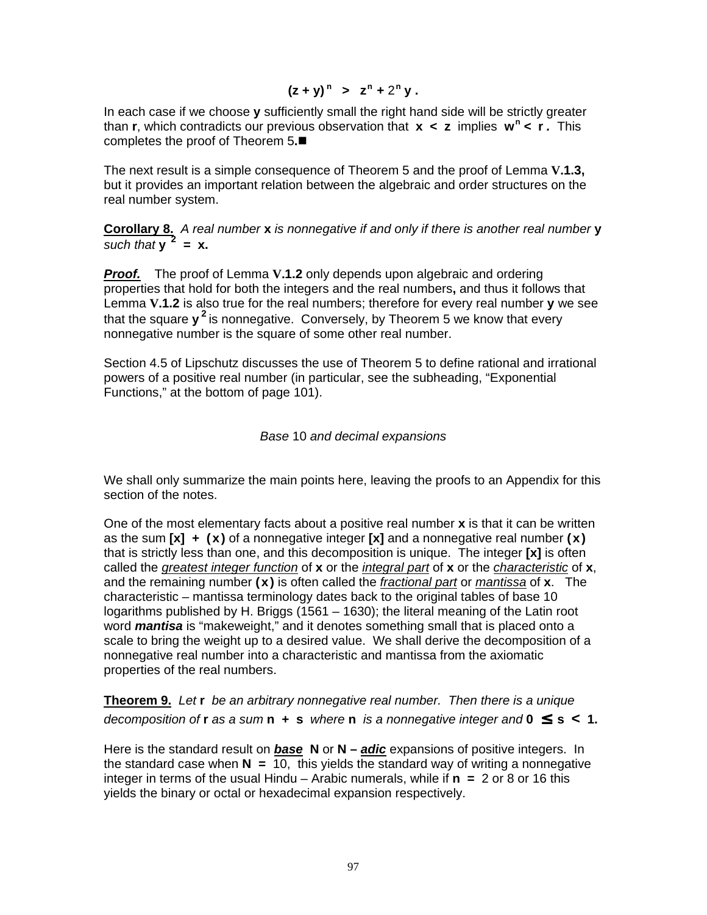$$
(z + y)^n > z^n + 2^n y
$$
.

In each case if we choose **y** sufficiently small the right hand side will be strictly greater than **r**, which contradicts our previous observation that **x < z** implies **w n <sup>&</sup>lt; r .** This completes the proof of Theorem 5**.**

The next result is a simple consequence of Theorem 5 and the proof of Lemma **V.1.3,** but it provides an important relation between the algebraic and order structures on the real number system.

**Corollary 8.** <sup>A</sup> real number **x** is nonnegative if and only if there is another real number **y**  $\frac{1}{2}$  such that  $y^2 = x$ .

**Proof.** The proof of Lemma **V.1.2** only depends upon algebraic and ordering properties that hold for both the integers and the real numbers**,** and thus it follows that Lemma **V.1.2** is also true for the real numbers; therefore for every real number **y** we see that the square **y**<sup>2</sup> is nonnegative. Conversely, by Theorem 5 we know that every nonnegative number is the square of some other real number.

Section 4.5 of Lipschutz discusses the use of Theorem 5 to define rational and irrational powers of a positive real number (in particular, see the subheading, "Exponential Functions," at the bottom of page 101).

### Base 10 and decimal expansions

We shall only summarize the main points here, leaving the proofs to an Appendix for this section of the notes.

One of the most elementary facts about a positive real number **x** is that it can be written as the sum **[x] + (x)** of a nonnegative integer **[x]** and a nonnegative real number **(x)** that is strictly less than one, and this decomposition is unique. The integer **[x]** is often called the greatest integer function of **x** or the integral part of **x** or the characteristic of **x**, and the remaining number **(x)** is often called the fractional part or mantissa of **x**. The characteristic – mantissa terminology dates back to the original tables of base 10 logarithms published by H. Briggs (1561 – 1630); the literal meaning of the Latin root word **mantisa** is "makeweight," and it denotes something small that is placed onto a scale to bring the weight up to a desired value. We shall derive the decomposition of a nonnegative real number into a characteristic and mantissa from the axiomatic properties of the real numbers.

**Theorem 9.** Let **r** be an arbitrary nonnegative real number. Then there is <sup>a</sup> unique decomposition of **r** as a sum **n**  $+$  **s** where **n** is a nonnegative integer and  $0 \le s < 1$ .

Here is the standard result on **base N** or **N – adic** expansions of positive integers. In the standard case when  $N = 10$ , this yields the standard way of writing a nonnegative integer in terms of the usual Hindu – Arabic numerals, while if **n =** 2 or 8 or 16 this yields the binary or octal or hexadecimal expansion respectively.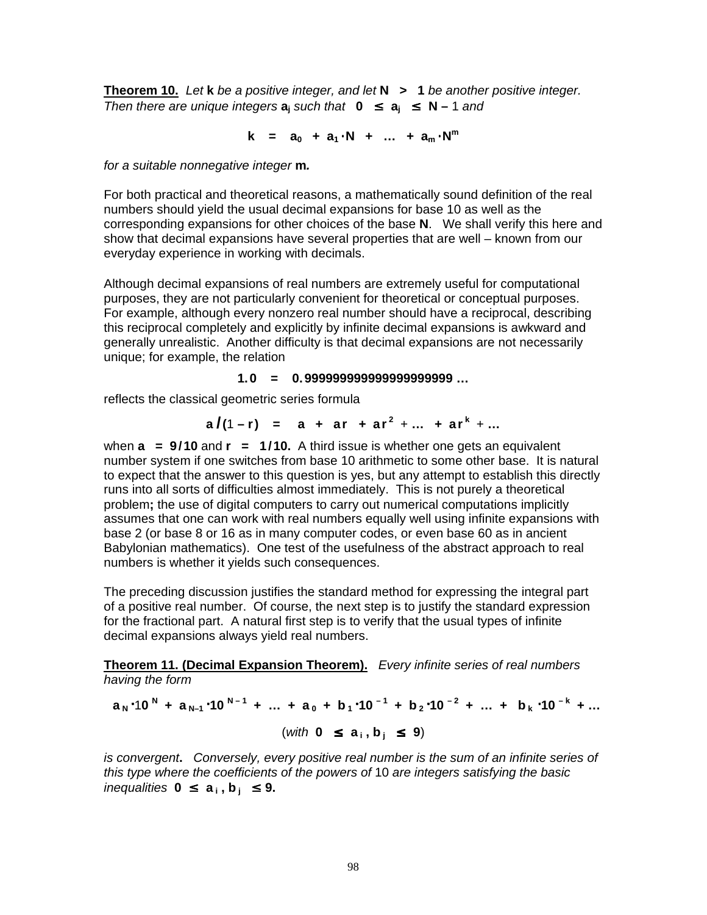**Theorem 10.** Let **k** be <sup>a</sup> positive integer, and let **N > 1** be another positive integer. Then there are unique integers  $a_i$  such that  $0 \le a_i \le N - 1$  and

$$
k = a_0 + a_1 \cdot N + ... + a_m \cdot N^m
$$

for <sup>a</sup> suitable nonnegative integer **m.**

For both practical and theoretical reasons, a mathematically sound definition of the real numbers should yield the usual decimal expansions for base 10 as well as the corresponding expansions for other choices of the base **N**. We shall verify this here and show that decimal expansions have several properties that are well – known from our everyday experience in working with decimals.

Although decimal expansions of real numbers are extremely useful for computational purposes, they are not particularly convenient for theoretical or conceptual purposes. For example, although every nonzero real number should have a reciprocal, describing this reciprocal completely and explicitly by infinite decimal expansions is awkward and generally unrealistic. Another difficulty is that decimal expansions are not necessarily unique; for example, the relation

#### **1.0 = 0.999999999999999999999 …**

reflects the classical geometric series formula

**a**  $f(1 - r) = a + ar + ar^2 + ... + ar^k + ...$ 

when **a = 9/10** and **r = 1/10.** A third issue is whether one gets an equivalent number system if one switches from base 10 arithmetic to some other base. It is natural to expect that the answer to this question is yes, but any attempt to establish this directly runs into all sorts of difficulties almost immediately. This is not purely a theoretical problem**;** the use of digital computers to carry out numerical computations implicitly assumes that one can work with real numbers equally well using infinite expansions with base 2 (or base 8 or 16 as in many computer codes, or even base 60 as in ancient Babylonian mathematics). One test of the usefulness of the abstract approach to real numbers is whether it yields such consequences.

The preceding discussion justifies the standard method for expressing the integral part of a positive real number. Of course, the next step is to justify the standard expression for the fractional part. A natural first step is to verify that the usual types of infinite decimal expansions always yield real numbers.

**Theorem 11. (Decimal Expansion Theorem).** Every infinite series of real numbers having the form

$$
a_N \cdot 10^N + a_{N-1} \cdot 10^{N-1} + \dots + a_0 + b_1 \cdot 10^{-1} + b_2 \cdot 10^{-2} + \dots + b_k \cdot 10^{-k} + \dots
$$
  
(with  $0 \le a_i, b_j \le 9$ )

is convergent**.** Conversely, every positive real number is the sum of an infinite series of this type where the coefficients of the powers of 10 are integers satisfying the basic inequalities **0** ≤ **a <sup>i</sup> , b <sup>j</sup>** ≤ **9.**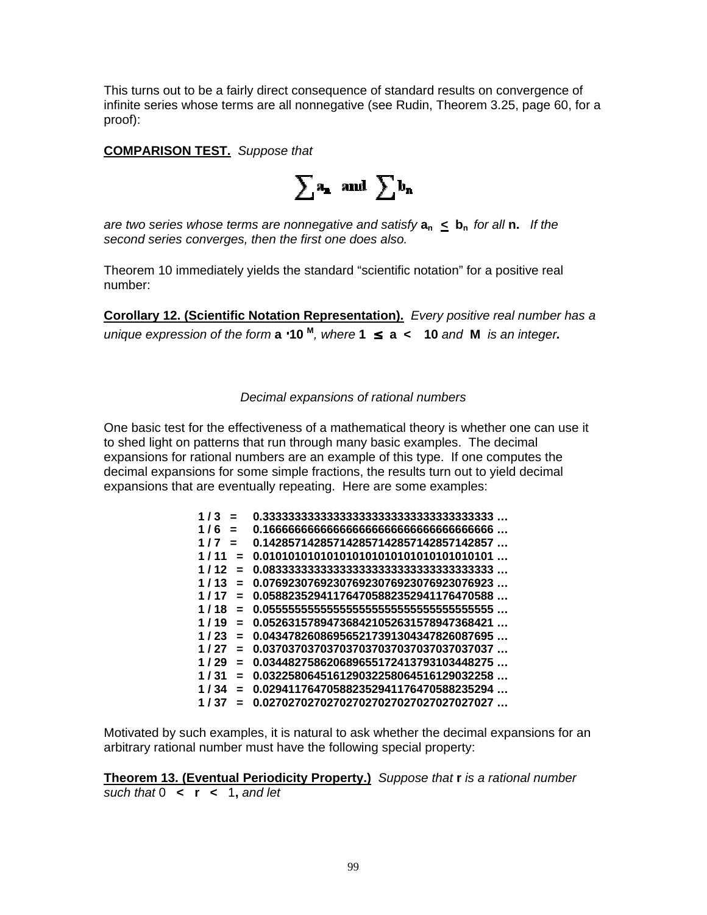This turns out to be a fairly direct consequence of standard results on convergence of infinite series whose terms are all nonnegative (see Rudin, Theorem 3.25, page 60, for a proof):

**COMPARISON TEST.** Suppose that

 $\sum a_n$  and  $\sum b_n$ 

are two series whose terms are nonnegative and satisfy  $a_n \leq b_n$  for all **n.** If the second series converges, then the first one does also.

Theorem 10 immediately yields the standard "scientific notation" for a positive real number:

**Corollary 12. (Scientific Notation Representation).** Every positive real number has <sup>a</sup> unique expression of the form **a** ⋅**10 M** , where **1** ≤ **a < 10** and **M** is an integer**.**

Decimal expansions of rational numbers

One basic test for the effectiveness of a mathematical theory is whether one can use it to shed light on patterns that run through many basic examples. The decimal expansions for rational numbers are an example of this type. If one computes the decimal expansions for some simple fractions, the results turn out to yield decimal expansions that are eventually repeating. Here are some examples:

| 0.142857142857142857142857142857142857        |
|-----------------------------------------------|
| 0.010101010101010101010101010101010101        |
|                                               |
| 0.076923076923076923076923076923076923        |
| 0.058823529411764705882352941176470588<br>$=$ |
| Ξ.                                            |
| 0.052631578947368421052631578947368421<br>$=$ |
| 0.043478260869565217391304347826087695        |
| 0.037037037037037037037037037037037037<br>$=$ |
| 0.034482758620689655172413793103448275<br>$=$ |
| 0.032258064516129032258064516129032258<br>$=$ |
| 0.029411764705882352941176470588235294<br>$=$ |
| 0.027027027027027027027027027027027027        |
|                                               |

Motivated by such examples, it is natural to ask whether the decimal expansions for an arbitrary rational number must have the following special property:

**Theorem 13. (Eventual Periodicity Property.)** Suppose that **r** is <sup>a</sup> rational number such that 0 **< r <** 1**,** and let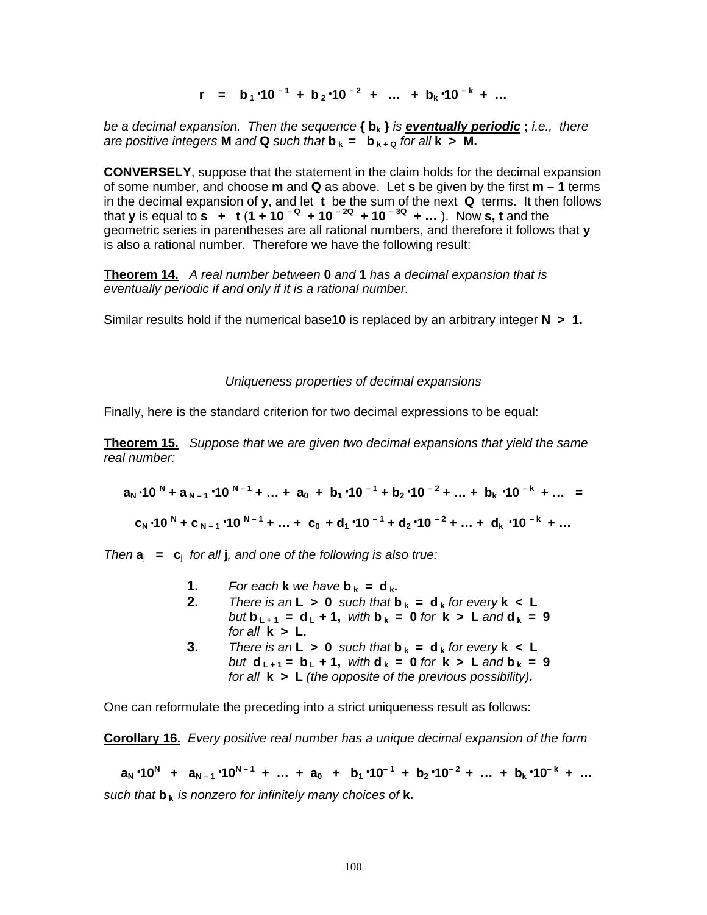**r** = **b**<sub>1</sub>.10<sup>-1</sup> + **b**<sub>2</sub>.10<sup>-2</sup> + … + **b**<sub>k</sub>.10<sup>-k</sup> + …

be <sup>a</sup> decimal expansion. Then the sequence **{ b<sup>k</sup> }** is **eventually periodic ;** i.e., there are positive integers **M** and **Q** such that  $\mathbf{b}_k = \mathbf{b}_{k+0}$  for all  $\mathbf{k} > \mathbf{M}$ .

**CONVERSELY**, suppose that the statement in the claim holds for the decimal expansion of some number, and choose **m** and **Q** as above. Let **s** be given by the first **m – 1** terms in the decimal expansion of **y**, and let **t** be the sum of the next **Q** terms. It then follows that **y** is equal to **s** + **t** (1 + 10 <sup>- Q</sup> + 10 <sup>- 2Q</sup> + 10 <sup>-3Q</sup> + ...). Now **s**, t and the geometric series in parentheses are all rational numbers, and therefore it follows that **y** is also a rational number. Therefore we have the following result:

**Theorem 14.** A real number between **0** and **1** has <sup>a</sup> decimal expansion that is eventually periodic if and only if it is <sup>a</sup> rational number.

Similar results hold if the numerical base**10** is replaced by an arbitrary integer **N > 1.**

#### Uniqueness properties of decimal expansions

Finally, here is the standard criterion for two decimal expressions to be equal:

**Theorem 15.** Suppose that we are given two decimal expansions that yield the same real number:

 $a_N \cdot 10^N + a_{N-1} \cdot 10^{N-1} + ... + a_0 + b_1 \cdot 10^{-1} + b_2 \cdot 10^{-2} + ... + b_k \cdot 10^{-k} + ... =$  $c_N$  10<sup>N</sup> + C<sub>N-1</sub> · 10<sup>N-1</sup> + ... + C<sub>0</sub> + d<sub>1</sub> · 10<sup>-1</sup> + d<sub>2</sub> · 10<sup>-2</sup> + ... + d<sub>k</sub> · 10<sup>-k</sup> + ...

Then  $a_i = c_i$  for all **j**, and one of the following is also true:

- **1.** For each **k** we have  $\mathbf{b}_k = \mathbf{d}_k$ .
- **2.** There is an  $L > 0$  such that  $b_k = d_k$  for every  $k < L$  $but$  **b**<sub>**L**+1</sub> = **d**<sub>**L**</sub> + 1, with **b**<sub>**k**</sub> = **0** for **k** > **L** and **d**<sub>**k**</sub> = 9 for all  $k > L$ .
- **3.** There is an  $L > 0$  such that  $b_k = d_k$  for every  $k < L$ **but**  $d_{L+1} = b_L + 1$ **,** with  $d_k = 0$  for  $k > L$  and  $b_k = 9$ for all **k > L** (the opposite of the previous possibility)**.**

One can reformulate the preceding into a strict uniqueness result as follows:

**Corollary 16.** Every positive real number has <sup>a</sup> unique decimal expansion of the form

 $a_N \cdot 10^N$  +  $a_{N-1} \cdot 10^{N-1}$  + ... +  $a_0$  +  $b_1 \cdot 10^{-1}$  +  $b_2 \cdot 10^{-2}$  + ... +  $b_k \cdot 10^{-k}$  + ... such that **b <sup>k</sup>** is nonzero for infinitely many choices of **k.**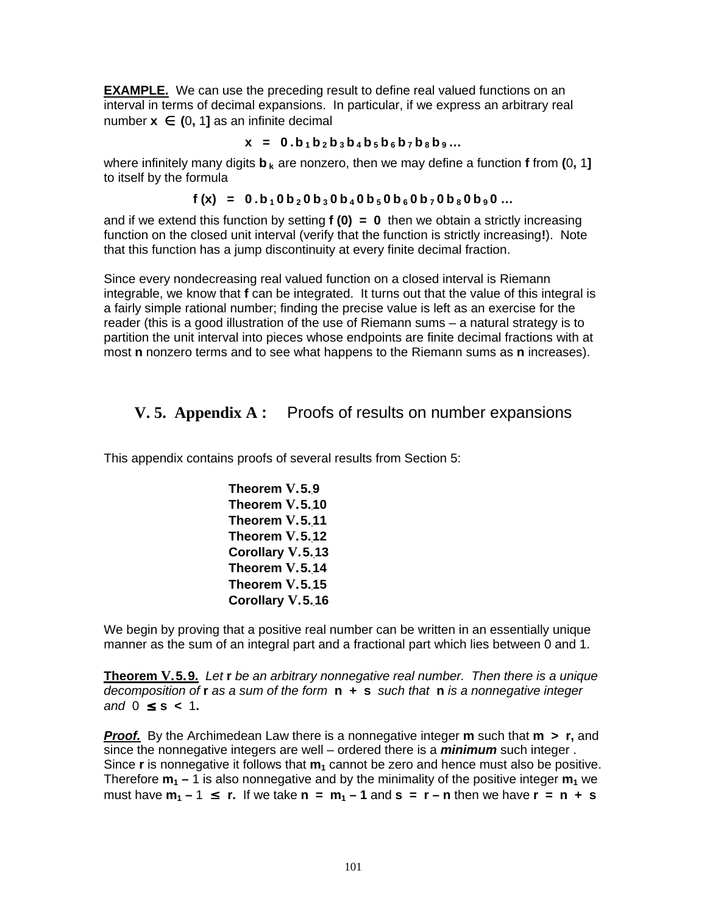**EXAMPLE.** We can use the preceding result to define real valued functions on an interval in terms of decimal expansions. In particular, if we express an arbitrary real number  $x$  ∈ (0, 1] as an infinite decimal

### $x = 0.b_1b_2b_3b_4b_5b_6b_7b_8b_9...$

where infinitely many digits **b <sup>k</sup>** are nonzero, then we may define a function **f** from **(**0**,** 1**]** to itself by the formula

### $f(x) = 0.b_10b_20b_30b_40b_50b_60b_70b_80b_90...$

and if we extend this function by setting **f (0) = 0** then we obtain a strictly increasing function on the closed unit interval (verify that the function is strictly increasing**!**). Note that this function has a jump discontinuity at every finite decimal fraction.

Since every nondecreasing real valued function on a closed interval is Riemann integrable, we know that **f** can be integrated. It turns out that the value of this integral is a fairly simple rational number; finding the precise value is left as an exercise for the reader (this is a good illustration of the use of Riemann sums – a natural strategy is to partition the unit interval into pieces whose endpoints are finite decimal fractions with at most **n** nonzero terms and to see what happens to the Riemann sums as **n** increases).

# **V. 5. Appendix A :** Proofs of results on number expansions

This appendix contains proofs of several results from Section 5:

**Theorem V.5.9 Theorem V.5.10 Theorem V.5.11 Theorem V.5.12 Corollary V.5.13 Theorem V.5.14 Theorem V.5.15 Corollary V.5.16**

We begin by proving that a positive real number can be written in an essentially unique manner as the sum of an integral part and a fractional part which lies between 0 and 1.

**Theorem V.5.9.** Let **r** be an arbitrary nonnegative real number. Then there is <sup>a</sup> unique decomposition of **r** as <sup>a</sup> sum of the form **n + s** such that **n** is <sup>a</sup> nonnegative integer and 0 ≤ **s <** 1**.**

**Proof.** By the Archimedean Law there is a nonnegative integer **m** such that **m > r,** and since the nonnegative integers are well – ordered there is a **minimum** such integer . Since **r** is nonnegative it follows that **m<sup>1</sup>** cannot be zero and hence must also be positive. Therefore  $m_1 - 1$  is also nonnegative and by the minimality of the positive integer  $m_1$  we **must have**  $m_1 - 1 \le r$ **.** If we take  $n = m_1 - 1$  and  $s = r - n$  then we have  $r = n + s$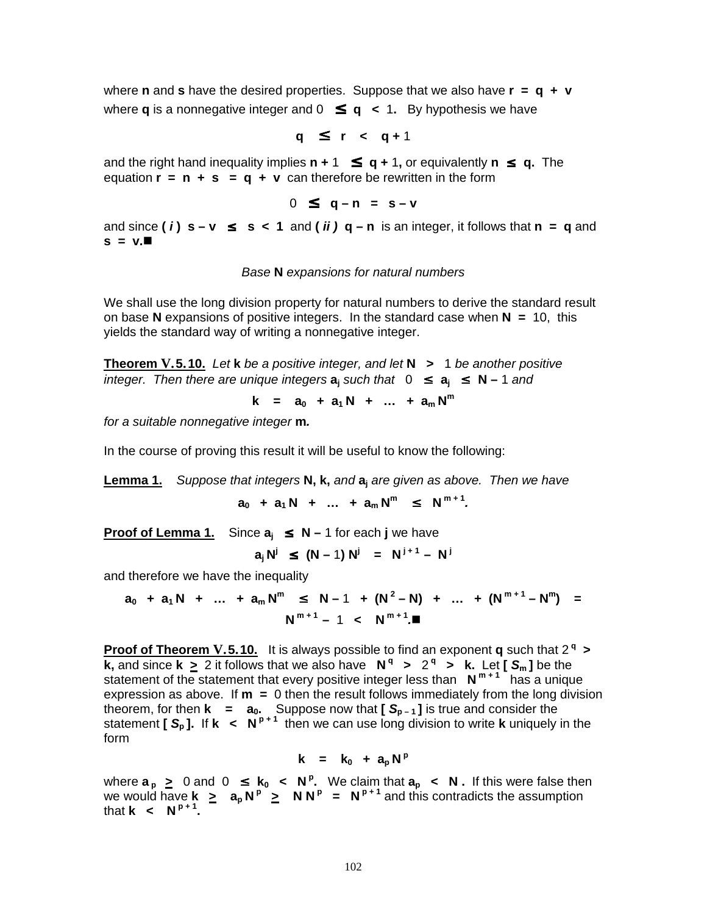where **n** and **s** have the desired properties. Suppose that we also have **r = q + v** where **q** is a nonnegative integer and  $0 \leq q < 1$ . By hypothesis we have

$$
q \leq r < q+1
$$

and the right hand inequality implies  $n + 1 \le q + 1$ , or equivalently  $n \le q$ . The **equation**  $\mathbf{r} = \mathbf{n} + \mathbf{s} = \mathbf{q} + \mathbf{v}$  **can therefore be rewritten in the form** 

$$
0 \leq q-n = s-v
$$

and since (*) s − v ≤ s < 1 and (* $*ii*$ *) q − n is an integer, it follows that n = q and*  $s = v.\blacksquare$ 

#### Base **N** expansions for natural numbers

We shall use the long division property for natural numbers to derive the standard result on base **N** expansions of positive integers. In the standard case when **N =** 10, this yields the standard way of writing a nonnegative integer.

**Theorem V.5.10.** Let **k** be <sup>a</sup> positive integer, and let **N >** 1 be another positive integer. Then there are unique integers  $a_i$  such that 0 ≤  $a_i$  ≤  $N-1$  and

**k** =  $a_0 + a_1N + ... + a_mN^m$ 

for <sup>a</sup> suitable nonnegative integer **m.**

In the course of proving this result it will be useful to know the following:

**Lemma 1.** Suppose that integers **N, k,** and **a<sup>j</sup>** are given as above. Then we have

 $a_0 + a_1N + ... + a_mN^m \leq N^{m+1}.$ 

**Proof of Lemma 1.** Since  $a_i \leq N-1$  for each j we have

$$
a_j N^j \le (N-1) N^j = N^{j+1} - N^j
$$

and therefore we have the inequality

 $a_0 + a_1 N + ... + a_m N^m \le N-1 + (N^2-N) + ... + (N^{m+1}-N^m) =$  $N^{m+1} - 1 < N^{m+1}$ 

**Proof of Theorem V.5.10.** It is always possible to find an exponent **q** such that 2 **q > k**, and since **k**  $\geq$  2 it follows that we also have **N**<sup>q</sup>  $\geq$  2<sup>q</sup>  $\geq$  **k**. Let [S<sub>m</sub>] be the statement of the statement that every positive integer less than  $N^{m+1}$  has a unique expression as above. If **m =** 0 then the result follows immediately from the long division theorem, for then **k = a0.** Suppose now that **[ S<sup>p</sup> – <sup>1</sup> ]** is true and consider the statement **[ S<sup>p</sup> ].** If **k < N p + 1** then we can use long division to write **k** uniquely in the form

$$
k = k_0 + a_p N^p
$$

where  $\mathbf{a}_p \geq 0$  and  $0 \leq \mathbf{k}_0 < \mathbf{N}^p$ . We claim that  $\mathbf{a}_p < \mathbf{N}$ . If this were false then we would have  $\mathbf{k} \geq \mathbf{a}_p \mathbf{N}^p \geq \mathbf{N} \mathbf{N}^p = \mathbf{N}^{p+1}$  and this contradicts the assumption that **k**  $\lt$  **N**<sup>p+1</sup>.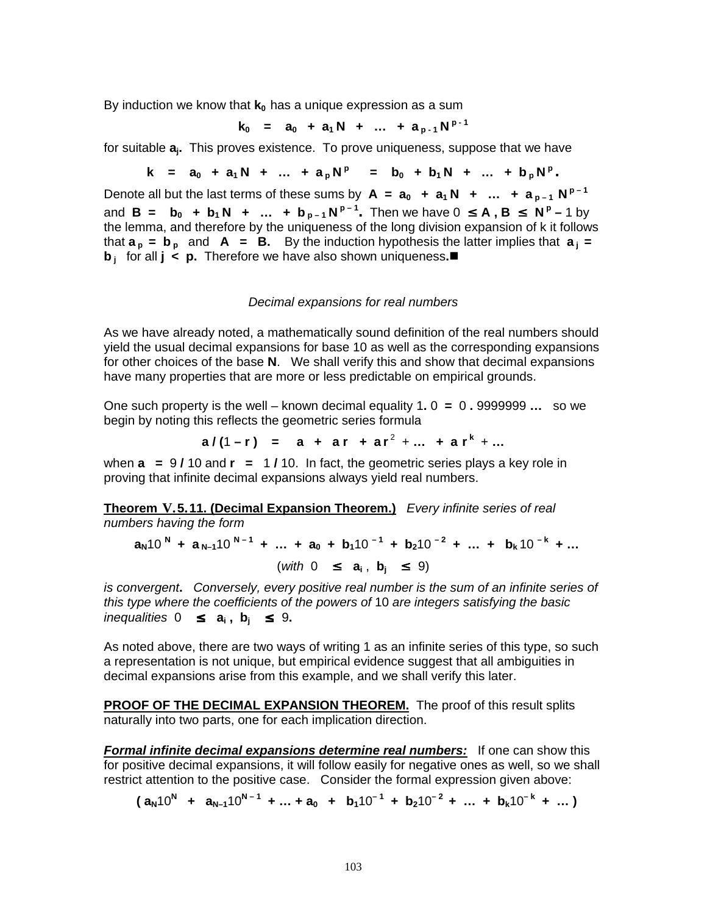By induction we know that **k<sup>0</sup>** has a unique expression as a sum

$$
k_0 = a_0 + a_1 N + \dots + a_{p-1} N^{p-1}
$$

for suitable **aj.** This proves existence. To prove uniqueness, suppose that we have

$$
k = a_0 + a_1 N + ... + a_p N^p = b_0 + b_1 N + ... + b_p N^p.
$$

Denote all but the last terms of these sums by  $A = a_0 + a_1N + ... + a_{p-1}N^{p-1}$ and **B** = **b**<sub>0</sub> + **b**<sub>1</sub> **N** + ... + **b**<sub>p-1</sub></sub>  $N^{p-1}$ . Then we have 0  $\leq$  **A**, **B**  $\leq$   $N^p - 1$  by the lemma, and therefore by the uniqueness of the long division expansion of k it follows that  $\mathbf{a}_p = \mathbf{b}_p$  and  $\mathbf{A} = \mathbf{B}$ . By the induction hypothesis the latter implies that  $\mathbf{a}_i =$ **b j** for all **j** < **p**. Therefore we have also shown uniqueness.■

#### Decimal expansions for real numbers

As we have already noted, a mathematically sound definition of the real numbers should yield the usual decimal expansions for base 10 as well as the corresponding expansions for other choices of the base **N**. We shall verify this and show that decimal expansions have many properties that are more or less predictable on empirical grounds.

One such property is the well – known decimal equality 1**.** 0 **=** 0 **.** 9999999 **…** so we begin by noting this reflects the geometric series formula

$$
a/(1-r) = a + ar + ar2 + ... + ark + ...
$$

when **a =** 9 **/** 10 and **r =** 1 **/** 10. In fact, the geometric series plays a key role in proving that infinite decimal expansions always yield real numbers.

**Theorem V.5.11. (Decimal Expansion Theorem.)** Every infinite series of real numbers having the form

$$
a_N 10^N + a_{N-1} 10^{N-1} + \dots + a_0 + b_1 10^{-1} + b_2 10^{-2} + \dots + b_k 10^{-k} + \dots
$$
  
(with  $0 \le a_i, b_j \le 9$ )

is convergent**.** Conversely, every positive real number is the sum of an infinite series of this type where the coefficients of the powers of 10 are integers satisfying the basic inequalities 0 ≤ **a<sup>i</sup> , b<sup>j</sup>** ≤ 9**.**

As noted above, there are two ways of writing 1 as an infinite series of this type, so such a representation is not unique, but empirical evidence suggest that all ambiguities in decimal expansions arise from this example, and we shall verify this later.

**PROOF OF THE DECIMAL EXPANSION THEOREM.** The proof of this result splits naturally into two parts, one for each implication direction.

**Formal infinite decimal expansions determine real numbers:** If one can show this for positive decimal expansions, it will follow easily for negative ones as well, so we shall restrict attention to the positive case. Consider the formal expression given above:

 $(a_N10^N + a_{N-1}10^{N-1} + ... + a_0 + b_110^{-1} + b_210^{-2} + ... + b_k10^{-k} + ...)$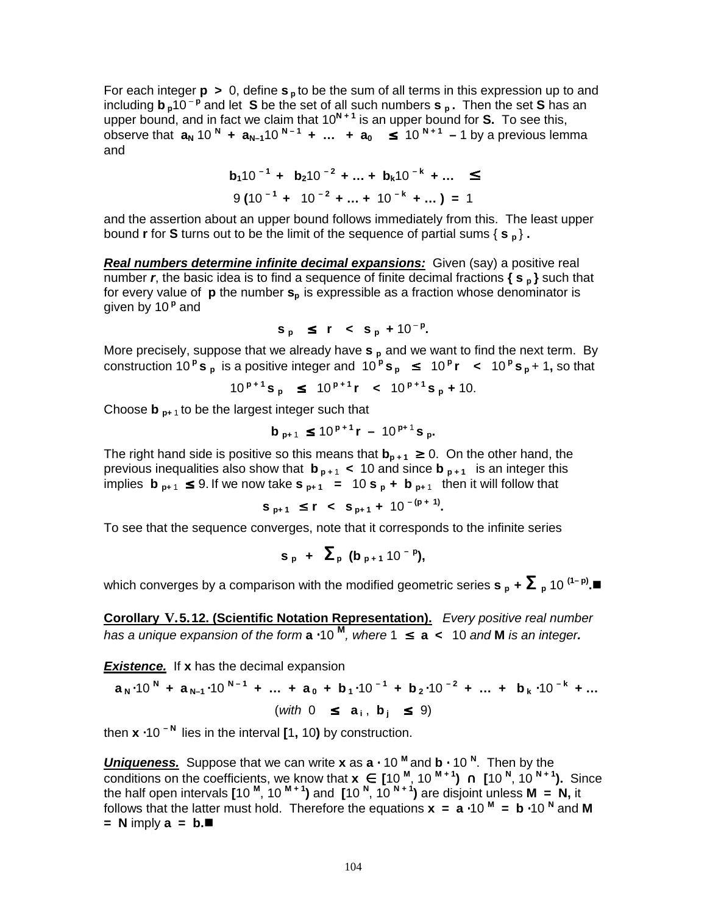For each integer **p >** 0, define **s <sup>p</sup>** to be the sum of all terms in this expression up to and including **b**  $p^{10-p}$  and let **S** be the set of all such numbers **s**  $p$  . Then the set **S** has an upper bound, and in fact we claim that 10<sup>N + 1</sup> is an upper bound for S. To see this, observe that  $a_N$  10  $^N$  +  $a_{N-1}$ 10  $^{N-1}$  +  $\ldots$  +  $a_0$   $\leq$  10  $^{N+1}$  - 1 by a previous lemma and

$$
b_1 10^{-1} + b_2 10^{-2} + ... + b_k 10^{-k} + ... \le
$$
  
9 (10<sup>-1</sup> + 10<sup>-2</sup> + ... + 10<sup>-k</sup> + ...) = 1

and the assertion about an upper bound follows immediately from this. The least upper bound **r** for **S** turns out to be the limit of the sequence of partial sums { **s <sup>p</sup>** } **.**

**Real numbers determine infinite decimal expansions:** Given (say) a positive real number **<sup>r</sup>**, the basic idea is to find a sequence of finite decimal fractions **{ s <sup>p</sup> }** such that for every value of **p** the number **s<sup>p</sup>** is expressible as a fraction whose denominator is given by 10<sup>P</sup> and

$$
s_p \le r < s_p + 10^{-p}
$$
.

More precisely, suppose that we already have **s <sup>p</sup>** and we want to find the next term. By construction 10<sup>P</sup>s<sub>P</sub> is a positive integer and  $10^p$ S<sub>P</sub>  $\leq 10^p$ r  $\lt 10^p$ S<sub>P</sub> + 1, so that

$$
10^{p+1}
$$
s<sub>p</sub>  $\leq 10^{p+1}$ r  $\lt 10^{p+1}$ s<sub>p</sub> + 10.

Choose **b p+** <sup>1</sup> to be the largest integer such that

$$
b_{p+1} \le 10^{p+1}r - 10^{p+1}s_{p}.
$$

The right hand side is positive so this means that  $\mathbf{b}_{p+1} \geq 0$ . On the other hand, the previous inequalities also show that  $\mathbf{b}_{p+1}$  < 10 and since  $\mathbf{b}_{p+1}$  is an integer this implies  $\mathbf{b}_{p+1} \leq 9$ . If we now take  $\mathbf{s}_{p+1} = 10 \mathbf{s}_p + \mathbf{b}_{p+1}$  then it will follow that

$$
s_{p+1} \le r \le s_{p+1} + 10^{-(p+1)}
$$

To see that the sequence converges, note that it corresponds to the infinite series

$$
s_p + \sum_p (b_{p+1} 10^{-p}),
$$

which converges by a comparison with the modified geometric series **s**  $_{\sf p}$  **+**  $\bm{\Sigma}$   $_{\sf p}$  10 <sup>(1– p)</sup>. $\blacksquare$ 

**Corollary V.5.12. (Scientific Notation Representation).** Every positive real number has <sup>a</sup> unique expansion of the form **a** ⋅10 **M** , where 1 ≤ **a <** 10 and **M** is an integer**.**

**Existence.** If x has the decimal expansion

$$
a_N \cdot 10^N + a_{N-1} \cdot 10^{N-1} + ... + a_0 + b_1 \cdot 10^{-1} + b_2 \cdot 10^{-2} + ... + b_k \cdot 10^{-k} + ...
$$
  
(with  $0 \le a_i, b_j \le 9$ )

then **x** ⋅10 **– N** lies in the interval **[**1**,** 10**)** by construction.

**Uniqueness.** Suppose that we can write **x** as **a** ⋅ 10 **M** and **b** ⋅ 10 **N** . Then by the conditions on the coefficients, we know that **x** ∈ **[**10 **M** , 10 **M + 1 )** ∩ **[**10 **N** , 10 **N + 1 ).** Since the half open intervals **[**10 **M** , 10 **M + 1 )** and **[**10 **N** , 10 **N + 1 )** are disjoint unless **M = N,** it follows that the latter must hold. Therefore the equations **x = a** ⋅10 **M = b** ⋅10 **N** and **M = N** imply **a = b.**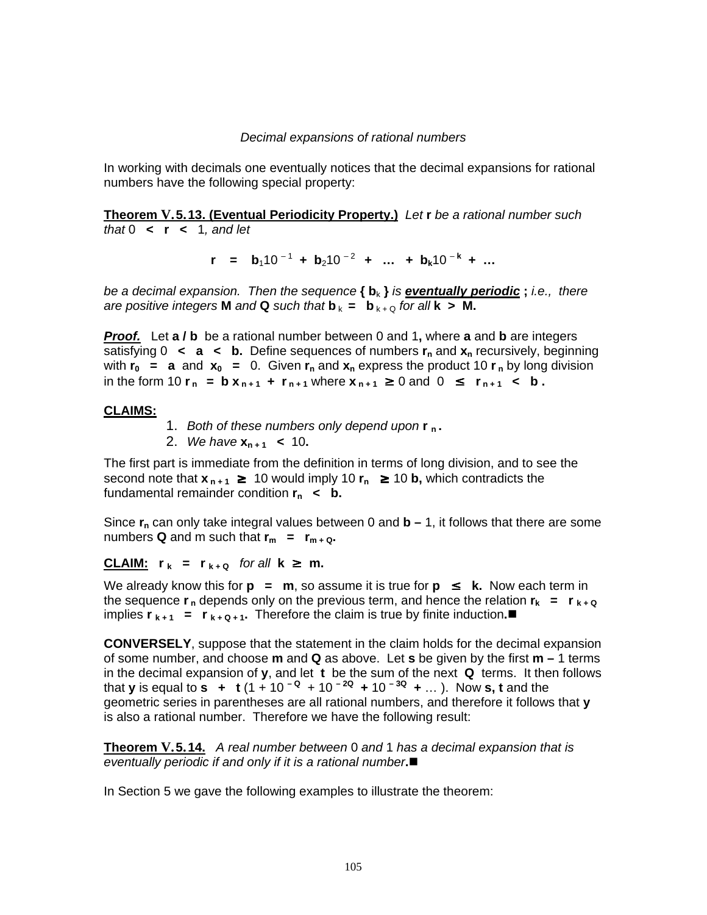### Decimal expansions of rational numbers

In working with decimals one eventually notices that the decimal expansions for rational numbers have the following special property:

**Theorem V.5.13. (Eventual Periodicity Property.)** Let **r** be <sup>a</sup> rational number such that  $0 \leq r \leq 1$ , and let

 $r = b_1 10^{-1} + b_2 10^{-2} + ... + b_k 10^{-k} + ...$ 

be <sup>a</sup> decimal expansion. Then the sequence **{ b**<sup>k</sup> **}** is **eventually periodic ;** i.e., there are positive integers **M** and **Q** such that  $\mathbf{b}_k = \mathbf{b}_{k+0}$  for all  $\mathbf{k} > \mathbf{M}$ .

**Proof.** Let **a / b** be a rational number between 0 and 1**,** where **a** and **b** are integers satisfying 0 **< a < b.** Define sequences of numbers **r<sup>n</sup>** and **x<sup>n</sup>** recursively, beginning with  $r_0$  = **a** and  $x_0$  = 0. Given  $r_n$  and  $x_n$  express the product 10  $r_n$  by long division in the form 10  $r_n = bx_{n+1} + r_{n+1}$  where  $x_{n+1} \ge 0$  and  $0 \le r_{n+1} < b$ .

### **CLAIMS:**

- 1. Both of these numbers only depend upon **r <sup>n</sup> .**
- 2. We have **x<sup>n</sup> <sup>+</sup> <sup>1</sup> <** 10**.**

The first part is immediate from the definition in terms of long division, and to see the second note that  $\mathbf{x}_{n+1} \geq 10$  would imply 10  $\mathbf{r}_n \geq 10$  **b**, which contradicts the fundamental remainder condition **r<sup>n</sup> < b.**

Since  $\mathbf{r}_n$  can only take integral values between 0 and  $\mathbf{b} - 1$ , it follows that there are some numbers **Q** and m such that  $\mathbf{r}_m = \mathbf{r}_{m+Q}$ .

**CLAIM:**  $r_k = r_{k+Q}$  for all  $k \ge m$ .

We already know this for  $p = m$ , so assume it is true for  $p \leq k$ . Now each term in the sequence  $\bf{r}_n$  depends only on the previous term, and hence the relation  $\bf{r}_k = \bf{r}_{k+Q}$ implies  $\mathbf{r}_{k+1} = \mathbf{r}_{k+Q+1}$ . Therefore the claim is true by finite induction.

**CONVERSELY**, suppose that the statement in the claim holds for the decimal expansion of some number, and choose **m** and **Q** as above. Let **s** be given by the first **m –** 1 terms in the decimal expansion of **y**, and let **t** be the sum of the next **Q** terms. It then follows **that <b>y** is equal to **s**  $+$  **t** (1 + 10<sup>-0</sup> + 10<sup>-20</sup> + 10<sup>-30</sup> + ...). Now **s**, **t** and the geometric series in parentheses are all rational numbers, and therefore it follows that **y** is also a rational number. Therefore we have the following result:

**Theorem V.5.14.** <sup>A</sup> real number between 0 and 1 has <sup>a</sup> decimal expansion that is eventually periodic if and only if it is <sup>a</sup> rational number**.**

In Section 5 we gave the following examples to illustrate the theorem: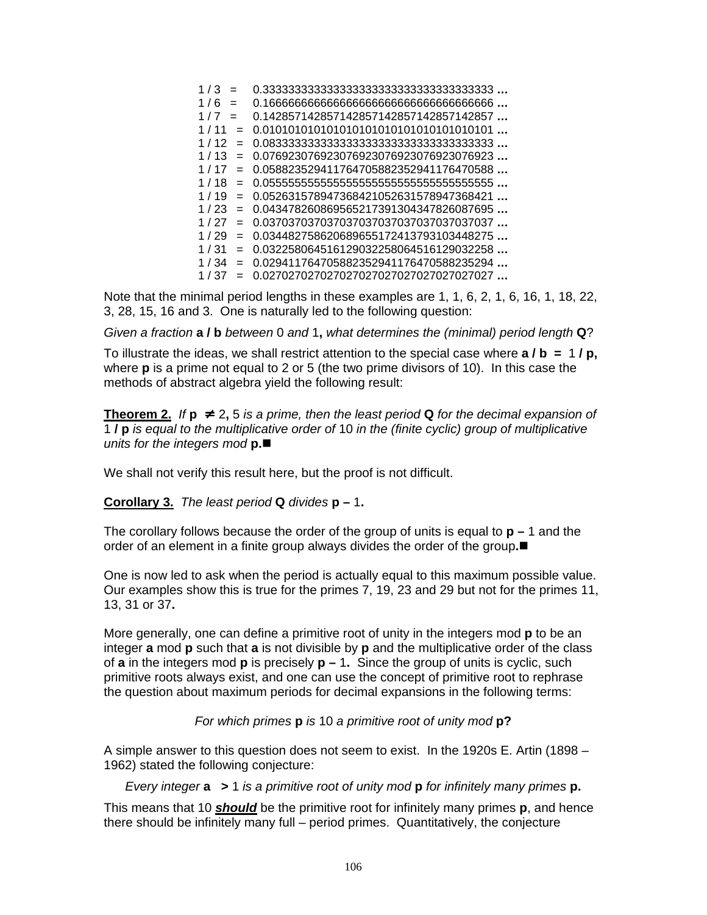| 1/3<br>$=$  |                                        |
|-------------|----------------------------------------|
| 1/6<br>$=$  |                                        |
| 1/7<br>$=$  | 0.142857142857142857142857142857142857 |
| 1/11<br>$=$ | 0.010101010101010101010101010101010101 |
| 1/12<br>$=$ |                                        |
| 1/13<br>$=$ | 0.076923076923076923076923076923076923 |
| 1/17<br>$=$ | 0.058823529411764705882352941176470588 |
| 1/18<br>$=$ |                                        |
| 1/19<br>$=$ | 0.052631578947368421052631578947368421 |
| 1/23<br>$=$ | 0.043478260869565217391304347826087695 |
| 1/27<br>$=$ | 0.037037037037037037037037037037037037 |
| 1/29<br>$=$ | 0.034482758620689655172413793103448275 |
| 1/31<br>$=$ | 0.032258064516129032258064516129032258 |
| 1/34<br>$=$ | 0.029411764705882352941176470588235294 |
| 1/37<br>$=$ | 0.027027027027027027027027027027027027 |

Note that the minimal period lengths in these examples are 1, 1, 6, 2, 1, 6, 16, 1, 18, 22, 3, 28, 15, 16 and 3. One is naturally led to the following question:

Given <sup>a</sup> fraction **a / b** between 0 and 1**,** what determines the (minimal) period length **Q**?

To illustrate the ideas, we shall restrict attention to the special case where **a / b =** 1 **/ p,** where **p** is a prime not equal to 2 or 5 (the two prime divisors of 10). In this case the methods of abstract algebra yield the following result:

**Theorem 2.** If  $p \neq 2, 5$  is a prime, then the least period **Q** for the decimal expansion of 1 **/ p** is equal to the multiplicative order of 10 in the (finite cyclic) group of multiplicative units for the integers mod **p.**

We shall not verify this result here, but the proof is not difficult.

**Corollary 3.** The least period **Q** divides **p –** 1**.**

The corollary follows because the order of the group of units is equal to **p –** 1 and the order of an element in a finite group always divides the order of the group**.**

One is now led to ask when the period is actually equal to this maximum possible value. Our examples show this is true for the primes 7, 19, 23 and 29 but not for the primes 11, 13, 31 or 37**.**

More generally, one can define a primitive root of unity in the integers mod **p** to be an integer **a** mod **p** such that **a** is not divisible by **p** and the multiplicative order of the class of **a** in the integers mod **p** is precisely **p –** 1**.** Since the group of units is cyclic, such primitive roots always exist, and one can use the concept of primitive root to rephrase the question about maximum periods for decimal expansions in the following terms:

For which primes **p** is 10 <sup>a</sup> primitive root of unity mod **p?**

A simple answer to this question does not seem to exist. In the 1920s E. Artin (1898 – 1962) stated the following conjecture:

Every integer **a >** 1 is <sup>a</sup> primitive root of unity mod **p** for infinitely many primes **p.**

This means that 10 **should** be the primitive root for infinitely many primes **p**, and hence there should be infinitely many full – period primes. Quantitatively, the conjecture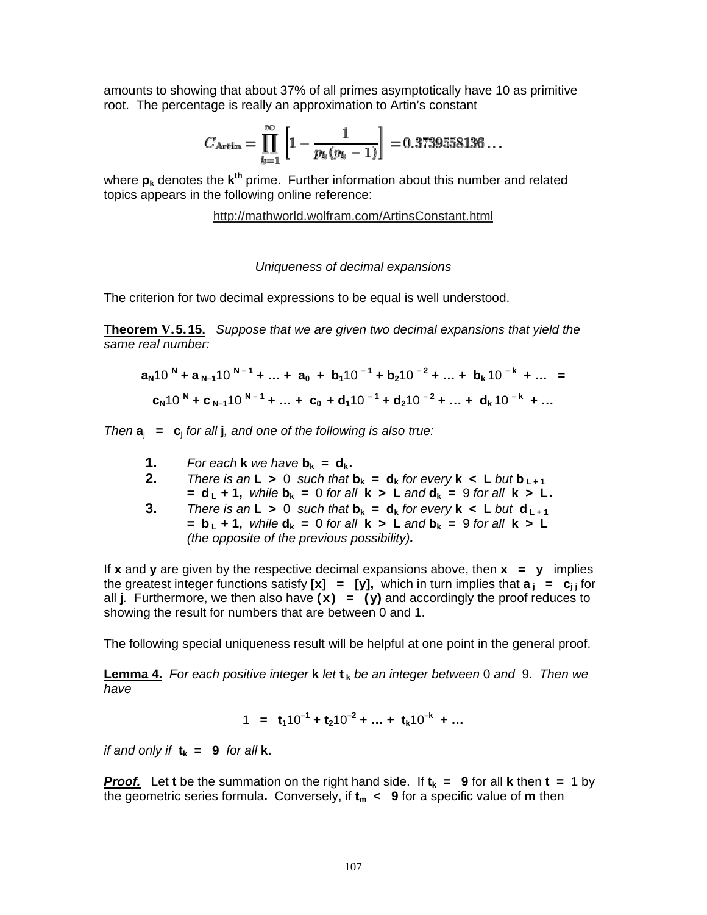amounts to showing that about 37% of all primes asymptotically have 10 as primitive root. The percentage is really an approximation to Artin's constant

$$
C_{\rm Artin} = \prod_{k=1}^{\infty} \left[ 1 - \frac{1}{p_k(p_k - 1)} \right] = 0.3739558136...
$$

where  $p_k$  denotes the  $k^{\text{th}}$  prime. Further information about this number and related topics appears in the following online reference:

http://mathworld.wolfram.com/ArtinsConstant.html

### Uniqueness of decimal expansions

The criterion for two decimal expressions to be equal is well understood.

**Theorem V.5.15.** Suppose that we are given two decimal expansions that yield the same real number:

$$
aN10N + aN-110N-1 + ... + a0 + b110-1 + b210-2 + ... + bk10-k + ... =
$$
  
c<sub>N</sub>10<sup>N</sup> + c<sub>N-1</sub>10<sup>N-1</sup> + ... + c<sub>0</sub> + d<sub>1</sub>10<sup>-1</sup> + d<sub>2</sub>10<sup>-2</sup> + ... + d<sub>k</sub>10<sup>-k</sup> + ...

Then  $a_i = c_i$  for all **j**, and one of the following is also true:

- **1.** For each **k** we have  $\mathbf{b}_k = \mathbf{d}_k$ .
- **2.** There is an  $L > 0$  such that  $b_k = d_k$  for every  $k < L$  but  $b_{k+1}$  $=$  **d**<sub>**L**</sub> + 1, while **b**<sub>k</sub> = 0 for all **k** > **L** and **d**<sub>k</sub> = 9 for all **k** > **L**.
- **3.** There is an **L** > 0 such that  $\mathbf{b}_k = \mathbf{d}_k$  for every  $\mathbf{k} < \mathbf{L}$  but  $\mathbf{d}_{k+1}$  $=$  **b**<sub>1</sub></sub>  $+$  **1**, while  $d_k$  = 0 for all **k**  $>$  **L** and  $b_k$  = 9 for all **k**  $>$  **L** (the opposite of the previous possibility)**.**

If **x** and **y** are given by the respective decimal expansions above, then **x = y** implies the greatest integer functions satisfy  $[x] = [y]$ , which in turn implies that  $a_j = c_{j}$  for all **j**. Furthermore, we then also have **(x) = (y)** and accordingly the proof reduces to showing the result for numbers that are between 0 and 1.

The following special uniqueness result will be helpful at one point in the general proof.

**Lemma 4.** For each positive integer **k** let **t <sup>k</sup>** be an integer between 0 and 9. Then we have

$$
1 = t_1 10^{-1} + t_2 10^{-2} + \dots + t_k 10^{-k} + \dots
$$

if and only if  $t_k = 9$  for all **k**.

**Proof.** Let **t** be the summation on the right hand side. If  $t_k = 9$  for all **k** then  $t = 1$  by the geometric series formula**.** Conversely, if **t<sup>m</sup> < 9** for a specific value of **m** then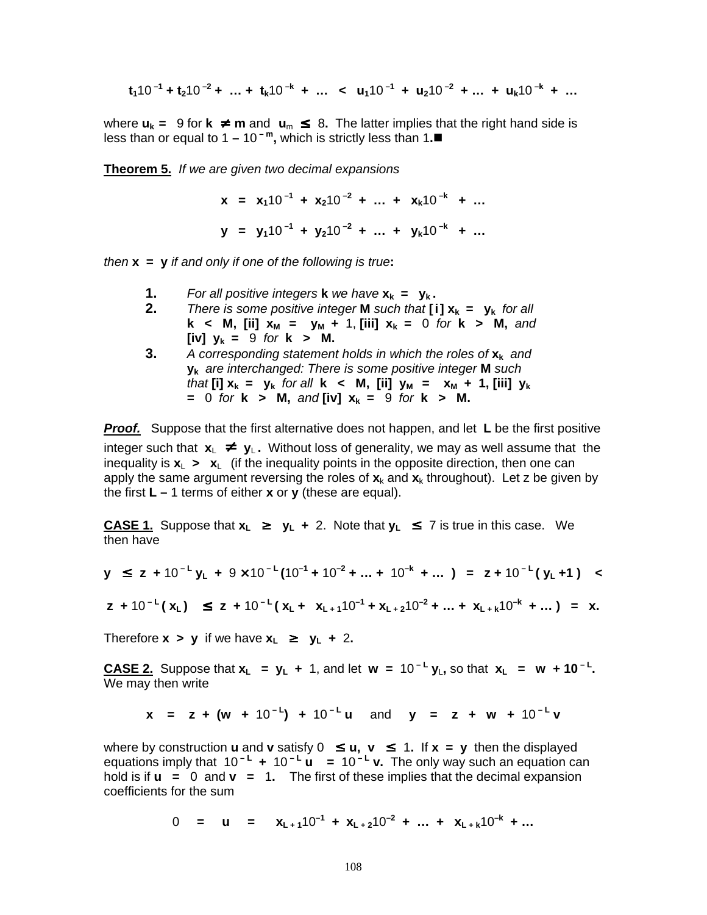$$
t_1 10^{-1} + t_2 10^{-2} + ... + t_k 10^{-k} + ... < u_1 10^{-1} + u_2 10^{-2} + ... + u_k 10^{-k} + ...
$$

where  $u_k = 9$  for  $k \neq m$  and  $u_m \leq 8$ . The latter implies that the right hand side is less than or equal to 1 − 10<sup>-m</sup>, which is strictly less than 1.■

**Theorem 5.** If we are given two decimal expansions

**x** =  $\mathbf{x}_1 \cdot 10^{-1} + \mathbf{x}_2 \cdot 10^{-2} + \dots + \mathbf{x}_k \cdot 10^{-k} + \dots$ **y** =  $y_1 10^{-1} + y_2 10^{-2} + ... + y_k 10^{-k} + ...$ 

then **x = y** if and only if one of the following is true**:**

- **1.** For all positive integers **k** we have  $\mathbf{x}_k = \mathbf{y}_k$ .
- **2.** There is some positive integer **M** such that  $[i]$   $x_k = y_k$  for all **k** < **M**,  $\begin{bmatrix} \text{iii} \\ \text{iv} \end{bmatrix}$  **x**<sub>M</sub> = y<sub>M</sub> + 1,  $\begin{bmatrix} \text{iii} \\ \text{v} \end{bmatrix}$  **x**<sub>k</sub> = 0 for **k** > **M**, and **[iv] y<sup>k</sup> =** 9 for **k > M.**
- **3.** <sup>A</sup> corresponding statement holds in which the roles of **x<sup>k</sup>** and **y<sup>k</sup>** are interchanged: There is some positive integer **M** such  $\mathbf{f}$  that **[i]**  $\mathbf{x}_k = \mathbf{y}_k$  for all  $\mathbf{k} < \mathbf{M}$ , **[ii]**  $\mathbf{y}_M = \mathbf{x}_M + 1$ , **[iii]**  $\mathbf{y}_k$ **=** 0 for **k**  $>$  **M**, and **[iv]**  $x_k = 9$  for **k**  $>$  **M**.

**Proof.** Suppose that the first alternative does not happen, and let **L** be the first positive integer such that  $x_L \neq y_L$ . Without loss of generality, we may as well assume that the inequality is  $x_{\perp}$   $\rightarrow$   $x_{\perp}$  (if the inequality points in the opposite direction, then one can apply the same argument reversing the roles of  $\mathbf{x}_k$  and  $\mathbf{x}_k$  throughout). Let z be given by the first **L –** 1 terms of either **x** or **y** (these are equal).

**CASE 1.** Suppose that  $\mathbf{x}_\mathsf{L}$  ≥  $\mathbf{y}_\mathsf{L}$  + 2. Note that  $\mathbf{y}_\mathsf{L}$  ≤ 7 is true in this case. We then have

$$
y \le z + 10^{-L}y_L + 9 \times 10^{-L}(10^{-1} + 10^{-2} + ... + 10^{-k} + ...) = z + 10^{-L}(y_L + 1) <
$$

$$
z + 10^{-L}(x_L) \le z + 10^{-L}(x_L + x_{L+1}10^{-1} + x_{L+2}10^{-2} + ... + x_{L+k}10^{-k} + ...) = x.
$$

Therefore  $x > y$  if we have  $x_1 \geq y_1 + 2$ .

CASE 2. Suppose that  $x_L = y_L + 1$ , and let  $w = 10^{-L} y_L$ , so that  $x_L = w + 10^{-L}$ . We may then write

**x** = **z** + (**w** + 10<sup>-L</sup>) + 10<sup>-L</sup>**u** and **y** = **z** + **w** + 10<sup>-L</sup>**v** 

where by construction **u** and **v** satisfy  $0 \le u$ ,  $v \le 1$ . If  $x = y$  then the displayed equations imply that 10 **– L +** 10 **– <sup>L</sup> u =** 10 **– L v.** The only way such an equation can hold is if **u =** 0 and **v =** 1**.** The first of these implies that the decimal expansion coefficients for the sum

0 = **u** =  $x_{L+1}10^{-1} + x_{L+2}10^{-2} + ... + x_{L+k}10^{-k} + ...$